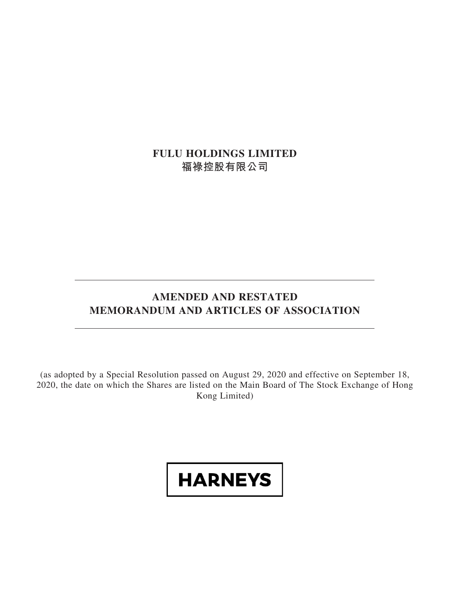**FULU HOLDINGS LIMITED 福祿控股有限公司**

# **AMENDED AND RESTATED MEMORANDUM AND ARTICLES OF ASSOCIATION**

(as adopted by a Special Resolution passed on August 29, 2020 and effective on September 18, 2020, the date on which the Shares are listed on the Main Board of The Stock Exchange of Hong Kong Limited)

# **HARNEYS**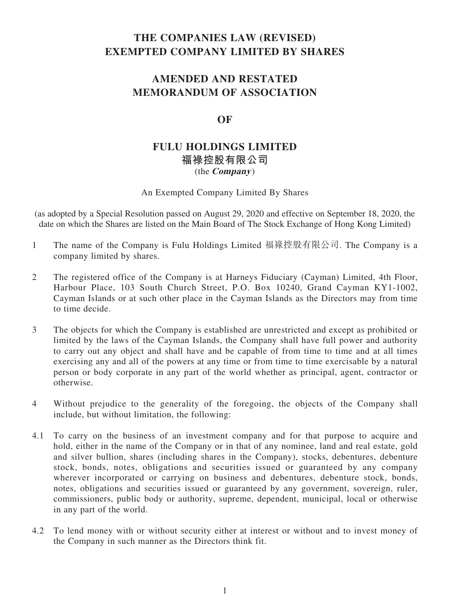# **THE COMPANIES LAW (REVISED) EXEMPTED COMPANY LIMITED BY SHARES**

# **AMENDED AND RESTATED MEMORANDUM OF ASSOCIATION**

# **OF**

# **FULU HOLDINGS LIMITED 福祿控股有限公司** (the **Company** )

An Exempted Company Limited By Shares

(as adopted by a Special Resolution passed on August 29, 2020 and effective on September 18, 2020, the date on which the Shares are listed on the Main Board of The Stock Exchange of Hong Kong Limited)

- 1 The name of the Company is Fulu Holdings Limited 福祿控股有限公司. The Company is a company limited by shares.
- 2 The registered office of the Company is at Harneys Fiduciary (Cayman) Limited, 4th Floor, Harbour Place, 103 South Church Street, P.O. Box 10240, Grand Cayman KY1-1002, Cayman Islands or at such other place in the Cayman Islands as the Directors may from time to time decide.
- 3 The objects for which the Company is established are unrestricted and except as prohibited or limited by the laws of the Cayman Islands, the Company shall have full power and authority to carry out any object and shall have and be capable of from time to time and at all times exercising any and all of the powers at any time or from time to time exercisable by a natural person or body corporate in any part of the world whether as principal, agent, contractor or otherwise.
- 4 Without prejudice to the generality of the foregoing, the objects of the Company shall include, but without limitation, the following:
- 4.1 To carry on the business of an investment company and for that purpose to acquire and hold, either in the name of the Company or in that of any nominee, land and real estate, gold and silver bullion, shares (including shares in the Company), stocks, debentures, debenture stock, bonds, notes, obligations and securities issued or guaranteed by any company wherever incorporated or carrying on business and debentures, debenture stock, bonds, notes, obligations and securities issued or guaranteed by any government, sovereign, ruler, commissioners, public body or authority, supreme, dependent, municipal, local or otherwise in any part of the world.
- 4.2 To lend money with or without security either at interest or without and to invest money of the Company in such manner as the Directors think fit.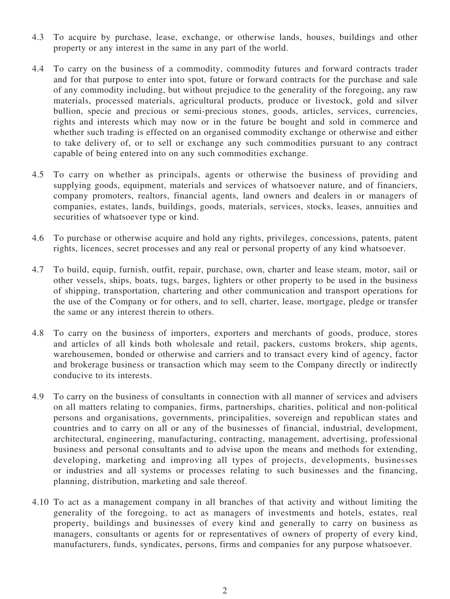- 4.3 To acquire by purchase, lease, exchange, or otherwise lands, houses, buildings and other property or any interest in the same in any part of the world.
- 4.4 To carry on the business of a commodity, commodity futures and forward contracts trader and for that purpose to enter into spot, future or forward contracts for the purchase and sale of any commodity including, but without prejudice to the generality of the foregoing, any raw materials, processed materials, agricultural products, produce or livestock, gold and silver bullion, specie and precious or semi-precious stones, goods, articles, services, currencies, rights and interests which may now or in the future be bought and sold in commerce and whether such trading is effected on an organised commodity exchange or otherwise and either to take delivery of, or to sell or exchange any such commodities pursuant to any contract capable of being entered into on any such commodities exchange.
- 4.5 To carry on whether as principals, agents or otherwise the business of providing and supplying goods, equipment, materials and services of whatsoever nature, and of financiers, company promoters, realtors, financial agents, land owners and dealers in or managers of companies, estates, lands, buildings, goods, materials, services, stocks, leases, annuities and securities of whatsoever type or kind.
- 4.6 To purchase or otherwise acquire and hold any rights, privileges, concessions, patents, patent rights, licences, secret processes and any real or personal property of any kind whatsoever.
- 4.7 To build, equip, furnish, outfit, repair, purchase, own, charter and lease steam, motor, sail or other vessels, ships, boats, tugs, barges, lighters or other property to be used in the business of shipping, transportation, chartering and other communication and transport operations for the use of the Company or for others, and to sell, charter, lease, mortgage, pledge or transfer the same or any interest therein to others.
- 4.8 To carry on the business of importers, exporters and merchants of goods, produce, stores and articles of all kinds both wholesale and retail, packers, customs brokers, ship agents, warehousemen, bonded or otherwise and carriers and to transact every kind of agency, factor and brokerage business or transaction which may seem to the Company directly or indirectly conducive to its interests.
- 4.9 To carry on the business of consultants in connection with all manner of services and advisers on all matters relating to companies, firms, partnerships, charities, political and non-political persons and organisations, governments, principalities, sovereign and republican states and countries and to carry on all or any of the businesses of financial, industrial, development, architectural, engineering, manufacturing, contracting, management, advertising, professional business and personal consultants and to advise upon the means and methods for extending, developing, marketing and improving all types of projects, developments, businesses or industries and all systems or processes relating to such businesses and the financing, planning, distribution, marketing and sale thereof.
- 4.10 To act as a management company in all branches of that activity and without limiting the generality of the foregoing, to act as managers of investments and hotels, estates, real property, buildings and businesses of every kind and generally to carry on business as managers, consultants or agents for or representatives of owners of property of every kind, manufacturers, funds, syndicates, persons, firms and companies for any purpose whatsoever.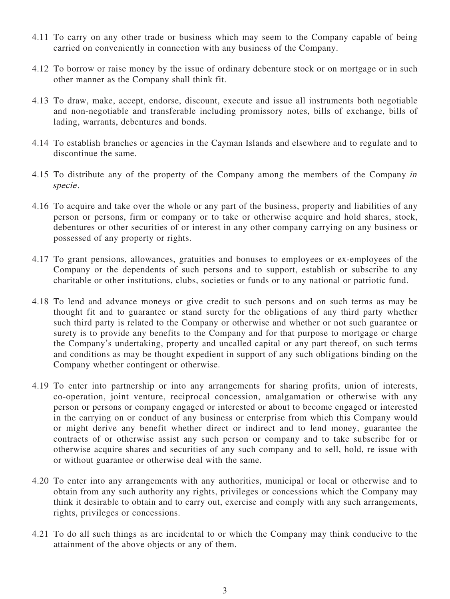- 4.11 To carry on any other trade or business which may seem to the Company capable of being carried on conveniently in connection with any business of the Company.
- 4.12 To borrow or raise money by the issue of ordinary debenture stock or on mortgage or in such other manner as the Company shall think fit.
- 4.13 To draw, make, accept, endorse, discount, execute and issue all instruments both negotiable and non-negotiable and transferable including promissory notes, bills of exchange, bills of lading, warrants, debentures and bonds.
- 4.14 To establish branches or agencies in the Cayman Islands and elsewhere and to regulate and to discontinue the same.
- 4.15 To distribute any of the property of the Company among the members of the Company in specie .
- 4.16 To acquire and take over the whole or any part of the business, property and liabilities of any person or persons, firm or company or to take or otherwise acquire and hold shares, stock, debentures or other securities of or interest in any other company carrying on any business or possessed of any property or rights.
- 4.17 To grant pensions, allowances, gratuities and bonuses to employees or ex-employees of the Company or the dependents of such persons and to support, establish or subscribe to any charitable or other institutions, clubs, societies or funds or to any national or patriotic fund.
- 4.18 To lend and advance moneys or give credit to such persons and on such terms as may be thought fit and to guarantee or stand surety for the obligations of any third party whether such third party is related to the Company or otherwise and whether or not such guarantee or surety is to provide any benefits to the Company and for that purpose to mortgage or charge the Company's undertaking, property and uncalled capital or any part thereof, on such terms and conditions as may be thought expedient in support of any such obligations binding on the Company whether contingent or otherwise.
- 4.19 To enter into partnership or into any arrangements for sharing profits, union of interests, co-operation, joint venture, reciprocal concession, amalgamation or otherwise with any person or persons or company engaged or interested or about to become engaged or interested in the carrying on or conduct of any business or enterprise from which this Company would or might derive any benefit whether direct or indirect and to lend money, guarantee the contracts of or otherwise assist any such person or company and to take subscribe for or otherwise acquire shares and securities of any such company and to sell, hold, re issue with or without guarantee or otherwise deal with the same.
- 4.20 To enter into any arrangements with any authorities, municipal or local or otherwise and to obtain from any such authority any rights, privileges or concessions which the Company may think it desirable to obtain and to carry out, exercise and comply with any such arrangements, rights, privileges or concessions.
- 4.21 To do all such things as are incidental to or which the Company may think conducive to the attainment of the above objects or any of them.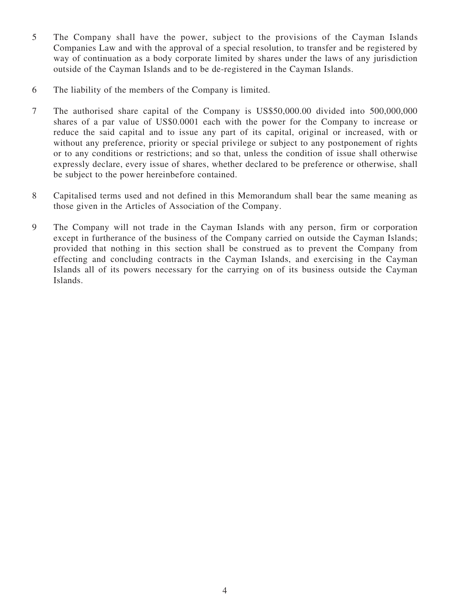- 5 The Company shall have the power, subject to the provisions of the Cayman Islands Companies Law and with the approval of a special resolution, to transfer and be registered by way of continuation as a body corporate limited by shares under the laws of any jurisdiction outside of the Cayman Islands and to be de-registered in the Cayman Islands.
- 6 The liability of the members of the Company is limited.
- 7 The authorised share capital of the Company is US\$50,000.00 divided into 500,000,000 shares of a par value of US\$0.0001 each with the power for the Company to increase or reduce the said capital and to issue any part of its capital, original or increased, with or without any preference, priority or special privilege or subject to any postponement of rights or to any conditions or restrictions; and so that, unless the condition of issue shall otherwise expressly declare, every issue of shares, whether declared to be preference or otherwise, shall be subject to the power hereinbefore contained.
- 8 Capitalised terms used and not defined in this Memorandum shall bear the same meaning as those given in the Articles of Association of the Company.
- 9 The Company will not trade in the Cayman Islands with any person, firm or corporation except in furtherance of the business of the Company carried on outside the Cayman Islands; provided that nothing in this section shall be construed as to prevent the Company from effecting and concluding contracts in the Cayman Islands, and exercising in the Cayman Islands all of its powers necessary for the carrying on of its business outside the Cayman Islands.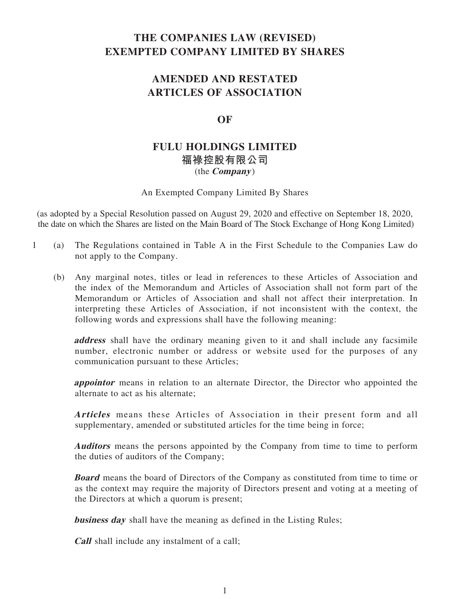# **THE COMPANIES LAW (REVISED) EXEMPTED COMPANY LIMITED BY SHARES**

# **AMENDED AND RESTATED ARTICLES OF ASSOCIATION**

# **OF**

# **FULU HOLDINGS LIMITED 福祿控股有限公司** (the **Company** )

An Exempted Company Limited By Shares

(as adopted by a Special Resolution passed on August 29, 2020 and effective on September 18, 2020, the date on which the Shares are listed on the Main Board of The Stock Exchange of Hong Kong Limited)

- 1 (a) The Regulations contained in Table A in the First Schedule to the Companies Law do not apply to the Company.
	- (b) Any marginal notes, titles or lead in references to these Articles of Association and the index of the Memorandum and Articles of Association shall not form part of the Memorandum or Articles of Association and shall not affect their interpretation. In interpreting these Articles of Association, if not inconsistent with the context, the following words and expressions shall have the following meaning:

**address** shall have the ordinary meaning given to it and shall include any facsimile number, electronic number or address or website used for the purposes of any communication pursuant to these Articles;

**appointor** means in relation to an alternate Director, the Director who appointed the alternate to act as his alternate;

**Articles** means these Articles of Association in their present form and all supplementary, amended or substituted articles for the time being in force;

**Auditors** means the persons appointed by the Company from time to time to perform the duties of auditors of the Company;

**Board** means the board of Directors of the Company as constituted from time to time or as the context may require the majority of Directors present and voting at a meeting of the Directors at which a quorum is present;

**business day** shall have the meaning as defined in the Listing Rules;

**Call** shall include any instalment of a call;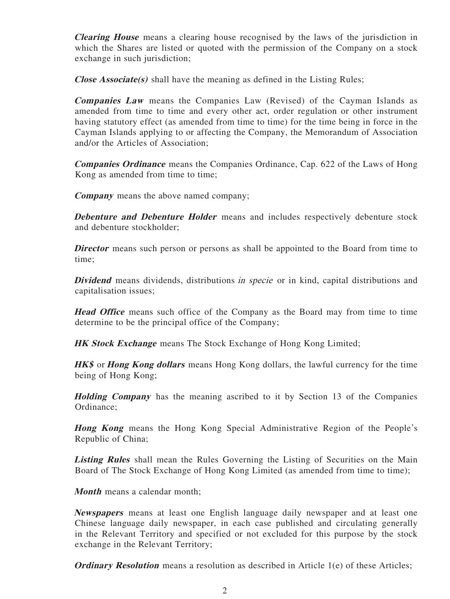**Clearing House** means a clearing house recognised by the laws of the jurisdiction in which the Shares are listed or quoted with the permission of the Company on a stock exchange in such jurisdiction;

**Close Associate(s)** shall have the meaning as defined in the Listing Rules;

**Companies Law** means the Companies Law (Revised) of the Cayman Islands as amended from time to time and every other act, order regulation or other instrument having statutory effect (as amended from time to time) for the time being in force in the Cayman Islands applying to or affecting the Company, the Memorandum of Association and/or the Articles of Association;

**Companies Ordinance** means the Companies Ordinance, Cap. 622 of the Laws of Hong Kong as amended from time to time;

**Company** means the above named company;

**Debenture and Debenture Holder** means and includes respectively debenture stock and debenture stockholder;

**Director** means such person or persons as shall be appointed to the Board from time to time;

**Dividend** means dividends, distributions in specie or in kind, capital distributions and capitalisation issues;

**Head Office** means such office of the Company as the Board may from time to time determine to be the principal office of the Company;

**HK Stock Exchange** means The Stock Exchange of Hong Kong Limited;

**HK\$** or **Hong Kong dollars** means Hong Kong dollars, the lawful currency for the time being of Hong Kong;

**Holding Company** has the meaning ascribed to it by Section 13 of the Companies Ordinance;

**Hong Kong** means the Hong Kong Special Administrative Region of the People's Republic of China;

**Listing Rules** shall mean the Rules Governing the Listing of Securities on the Main Board of The Stock Exchange of Hong Kong Limited (as amended from time to time);

**Month** means a calendar month;

**Newspapers** means at least one English language daily newspaper and at least one Chinese language daily newspaper, in each case published and circulating generally in the Relevant Territory and specified or not excluded for this purpose by the stock exchange in the Relevant Territory;

**Ordinary Resolution** means a resolution as described in Article 1(e) of these Articles;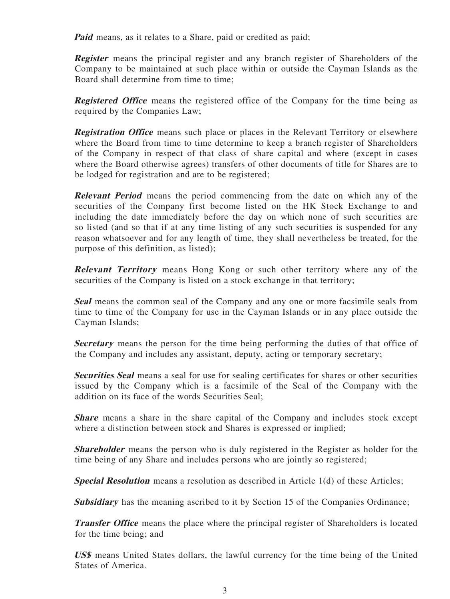**Paid** means, as it relates to a Share, paid or credited as paid;

**Register** means the principal register and any branch register of Shareholders of the Company to be maintained at such place within or outside the Cayman Islands as the Board shall determine from time to time;

**Registered Office** means the registered office of the Company for the time being as required by the Companies Law;

**Registration Office** means such place or places in the Relevant Territory or elsewhere where the Board from time to time determine to keep a branch register of Shareholders of the Company in respect of that class of share capital and where (except in cases where the Board otherwise agrees) transfers of other documents of title for Shares are to be lodged for registration and are to be registered;

**Relevant Period** means the period commencing from the date on which any of the securities of the Company first become listed on the HK Stock Exchange to and including the date immediately before the day on which none of such securities are so listed (and so that if at any time listing of any such securities is suspended for any reason whatsoever and for any length of time, they shall nevertheless be treated, for the purpose of this definition, as listed);

**Relevant Territory** means Hong Kong or such other territory where any of the securities of the Company is listed on a stock exchange in that territory;

**Seal** means the common seal of the Company and any one or more facsimile seals from time to time of the Company for use in the Cayman Islands or in any place outside the Cayman Islands;

**Secretary** means the person for the time being performing the duties of that office of the Company and includes any assistant, deputy, acting or temporary secretary;

**Securities Seal** means a seal for use for sealing certificates for shares or other securities issued by the Company which is a facsimile of the Seal of the Company with the addition on its face of the words Securities Seal;

**Share** means a share in the share capital of the Company and includes stock except where a distinction between stock and Shares is expressed or implied;

**Shareholder** means the person who is duly registered in the Register as holder for the time being of any Share and includes persons who are jointly so registered;

**Special Resolution** means a resolution as described in Article 1(d) of these Articles;

**Subsidiary** has the meaning ascribed to it by Section 15 of the Companies Ordinance;

**Transfer Office** means the place where the principal register of Shareholders is located for the time being; and

**US\$** means United States dollars, the lawful currency for the time being of the United States of America.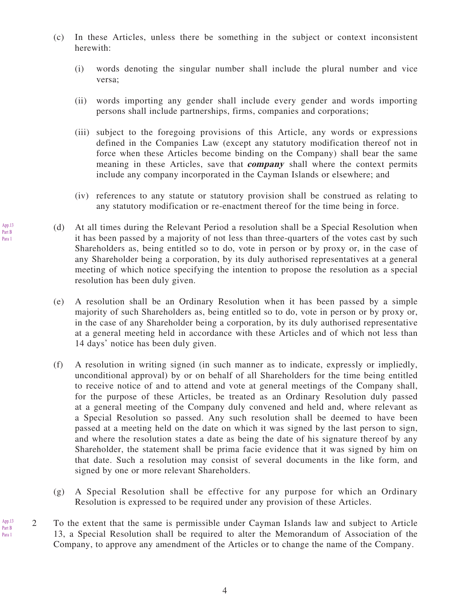- (c) In these Articles, unless there be something in the subject or context inconsistent herewith:
	- (i) words denoting the singular number shall include the plural number and vice versa;
	- (ii) words importing any gender shall include every gender and words importing persons shall include partnerships, firms, companies and corporations;
	- (iii) subject to the foregoing provisions of this Article, any words or expressions defined in the Companies Law (except any statutory modification thereof not in force when these Articles become binding on the Company) shall bear the same meaning in these Articles, save that **company** shall where the context permits include any company incorporated in the Cayman Islands or elsewhere; and
	- (iv) references to any statute or statutory provision shall be construed as relating to any statutory modification or re-enactment thereof for the time being in force.
- (d) At all times during the Relevant Period a resolution shall be a Special Resolution when it has been passed by a majority of not less than three-quarters of the votes cast by such Shareholders as, being entitled so to do, vote in person or by proxy or, in the case of any Shareholder being a corporation, by its duly authorised representatives at a general meeting of which notice specifying the intention to propose the resolution as a special resolution has been duly given.
- (e) A resolution shall be an Ordinary Resolution when it has been passed by a simple majority of such Shareholders as, being entitled so to do, vote in person or by proxy or, in the case of any Shareholder being a corporation, by its duly authorised representative at a general meeting held in accordance with these Articles and of which not less than 14 days' notice has been duly given.
- (f) A resolution in writing signed (in such manner as to indicate, expressly or impliedly, unconditional approval) by or on behalf of all Shareholders for the time being entitled to receive notice of and to attend and vote at general meetings of the Company shall, for the purpose of these Articles, be treated as an Ordinary Resolution duly passed at a general meeting of the Company duly convened and held and, where relevant as a Special Resolution so passed. Any such resolution shall be deemed to have been passed at a meeting held on the date on which it was signed by the last person to sign, and where the resolution states a date as being the date of his signature thereof by any Shareholder, the statement shall be prima facie evidence that it was signed by him on that date. Such a resolution may consist of several documents in the like form, and signed by one or more relevant Shareholders.
- (g) A Special Resolution shall be effective for any purpose for which an Ordinary Resolution is expressed to be required under any provision of these Articles.
- 2 To the extent that the same is permissible under Cayman Islands law and subject to Article 13, a Special Resolution shall be required to alter the Memorandum of Association of the Company, to approve any amendment of the Articles or to change the name of the Company.

App.13 Part B Para 1

App.13 Part B Para 1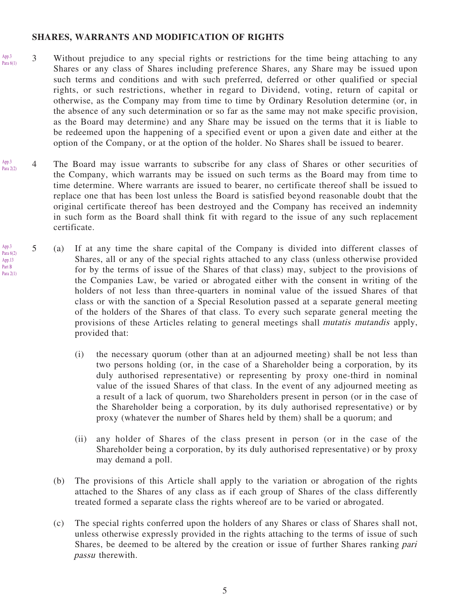#### **SHARES, WARRANTS AND MODIFICATION OF RIGHTS**

- 3 Without prejudice to any special rights or restrictions for the time being attaching to any Shares or any class of Shares including preference Shares, any Share may be issued upon such terms and conditions and with such preferred, deferred or other qualified or special rights, or such restrictions, whether in regard to Dividend, voting, return of capital or otherwise, as the Company may from time to time by Ordinary Resolution determine (or, in the absence of any such determination or so far as the same may not make specific provision, as the Board may determine) and any Share may be issued on the terms that it is liable to be redeemed upon the happening of a specified event or upon a given date and either at the option of the Company, or at the option of the holder. No Shares shall be issued to bearer. App.3 Para 6(1)
- 4 The Board may issue warrants to subscribe for any class of Shares or other securities of the Company, which warrants may be issued on such terms as the Board may from time to time determine. Where warrants are issued to bearer, no certificate thereof shall be issued to replace one that has been lost unless the Board is satisfied beyond reasonable doubt that the original certificate thereof has been destroyed and the Company has received an indemnity in such form as the Board shall think fit with regard to the issue of any such replacement certificate. App.3 Para 2(2)
- 5 (a) If at any time the share capital of the Company is divided into different classes of Shares, all or any of the special rights attached to any class (unless otherwise provided for by the terms of issue of the Shares of that class) may, subject to the provisions of the Companies Law, be varied or abrogated either with the consent in writing of the holders of not less than three-quarters in nominal value of the issued Shares of that class or with the sanction of a Special Resolution passed at a separate general meeting of the holders of the Shares of that class. To every such separate general meeting the provisions of these Articles relating to general meetings shall mutatis mutandis apply, provided that: App.3 Para 6(2) App.13 Part B Para 2(1)
	- (i) the necessary quorum (other than at an adjourned meeting) shall be not less than two persons holding (or, in the case of a Shareholder being a corporation, by its duly authorised representative) or representing by proxy one-third in nominal value of the issued Shares of that class. In the event of any adjourned meeting as a result of a lack of quorum, two Shareholders present in person (or in the case of the Shareholder being a corporation, by its duly authorised representative) or by proxy (whatever the number of Shares held by them) shall be a quorum; and
	- (ii) any holder of Shares of the class present in person (or in the case of the Shareholder being a corporation, by its duly authorised representative) or by proxy may demand a poll.
	- (b) The provisions of this Article shall apply to the variation or abrogation of the rights attached to the Shares of any class as if each group of Shares of the class differently treated formed a separate class the rights whereof are to be varied or abrogated.
	- (c) The special rights conferred upon the holders of any Shares or class of Shares shall not, unless otherwise expressly provided in the rights attaching to the terms of issue of such Shares, be deemed to be altered by the creation or issue of further Shares ranking pari passu therewith.

5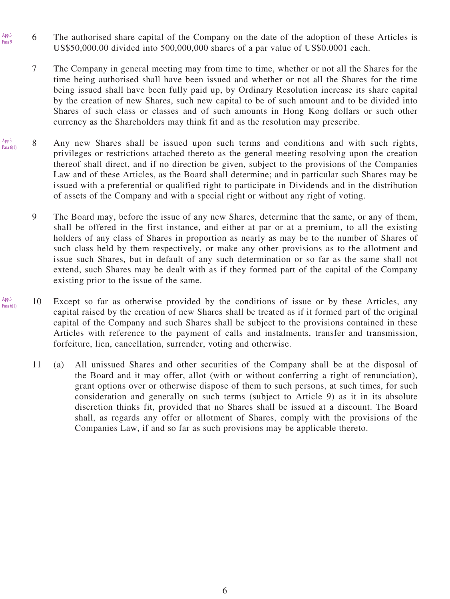- 6 The authorised share capital of the Company on the date of the adoption of these Articles is US\$50,000.00 divided into 500,000,000 shares of a par value of US\$0.0001 each. App.3 Para 9
	- 7 The Company in general meeting may from time to time, whether or not all the Shares for the time being authorised shall have been issued and whether or not all the Shares for the time being issued shall have been fully paid up, by Ordinary Resolution increase its share capital by the creation of new Shares, such new capital to be of such amount and to be divided into Shares of such class or classes and of such amounts in Hong Kong dollars or such other currency as the Shareholders may think fit and as the resolution may prescribe.
- 8 Any new Shares shall be issued upon such terms and conditions and with such rights, privileges or restrictions attached thereto as the general meeting resolving upon the creation thereof shall direct, and if no direction be given, subject to the provisions of the Companies Law and of these Articles, as the Board shall determine; and in particular such Shares may be issued with a preferential or qualified right to participate in Dividends and in the distribution of assets of the Company and with a special right or without any right of voting. App.3 Para 6(1)
	- 9 The Board may, before the issue of any new Shares, determine that the same, or any of them, shall be offered in the first instance, and either at par or at a premium, to all the existing holders of any class of Shares in proportion as nearly as may be to the number of Shares of such class held by them respectively, or make any other provisions as to the allotment and issue such Shares, but in default of any such determination or so far as the same shall not extend, such Shares may be dealt with as if they formed part of the capital of the Company existing prior to the issue of the same.
- 10 Except so far as otherwise provided by the conditions of issue or by these Articles, any capital raised by the creation of new Shares shall be treated as if it formed part of the original capital of the Company and such Shares shall be subject to the provisions contained in these Articles with reference to the payment of calls and instalments, transfer and transmission, forfeiture, lien, cancellation, surrender, voting and otherwise. App.3 Para  $6(1)$ 
	- 11 (a) All unissued Shares and other securities of the Company shall be at the disposal of the Board and it may offer, allot (with or without conferring a right of renunciation), grant options over or otherwise dispose of them to such persons, at such times, for such consideration and generally on such terms (subject to Article 9) as it in its absolute discretion thinks fit, provided that no Shares shall be issued at a discount. The Board shall, as regards any offer or allotment of Shares, comply with the provisions of the Companies Law, if and so far as such provisions may be applicable thereto.

6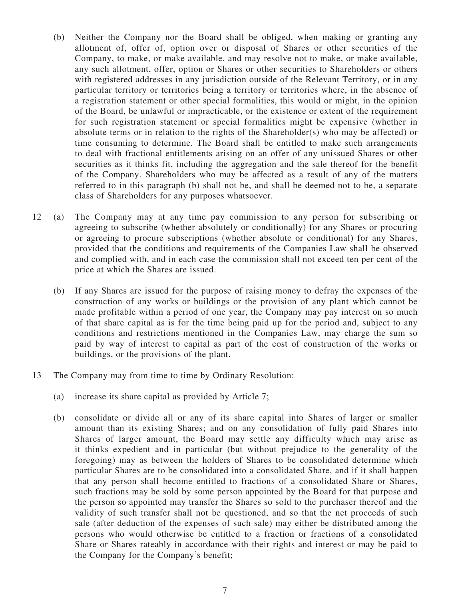- (b) Neither the Company nor the Board shall be obliged, when making or granting any allotment of, offer of, option over or disposal of Shares or other securities of the Company, to make, or make available, and may resolve not to make, or make available, any such allotment, offer, option or Shares or other securities to Shareholders or others with registered addresses in any jurisdiction outside of the Relevant Territory, or in any particular territory or territories being a territory or territories where, in the absence of a registration statement or other special formalities, this would or might, in the opinion of the Board, be unlawful or impracticable, or the existence or extent of the requirement for such registration statement or special formalities might be expensive (whether in absolute terms or in relation to the rights of the Shareholder(s) who may be affected) or time consuming to determine. The Board shall be entitled to make such arrangements to deal with fractional entitlements arising on an offer of any unissued Shares or other securities as it thinks fit, including the aggregation and the sale thereof for the benefit of the Company. Shareholders who may be affected as a result of any of the matters referred to in this paragraph (b) shall not be, and shall be deemed not to be, a separate class of Shareholders for any purposes whatsoever.
- 12 (a) The Company may at any time pay commission to any person for subscribing or agreeing to subscribe (whether absolutely or conditionally) for any Shares or procuring or agreeing to procure subscriptions (whether absolute or conditional) for any Shares, provided that the conditions and requirements of the Companies Law shall be observed and complied with, and in each case the commission shall not exceed ten per cent of the price at which the Shares are issued.
	- (b) If any Shares are issued for the purpose of raising money to defray the expenses of the construction of any works or buildings or the provision of any plant which cannot be made profitable within a period of one year, the Company may pay interest on so much of that share capital as is for the time being paid up for the period and, subject to any conditions and restrictions mentioned in the Companies Law, may charge the sum so paid by way of interest to capital as part of the cost of construction of the works or buildings, or the provisions of the plant.
- 13 The Company may from time to time by Ordinary Resolution:
	- (a) increase its share capital as provided by Article 7;
	- (b) consolidate or divide all or any of its share capital into Shares of larger or smaller amount than its existing Shares; and on any consolidation of fully paid Shares into Shares of larger amount, the Board may settle any difficulty which may arise as it thinks expedient and in particular (but without prejudice to the generality of the foregoing) may as between the holders of Shares to be consolidated determine which particular Shares are to be consolidated into a consolidated Share, and if it shall happen that any person shall become entitled to fractions of a consolidated Share or Shares, such fractions may be sold by some person appointed by the Board for that purpose and the person so appointed may transfer the Shares so sold to the purchaser thereof and the validity of such transfer shall not be questioned, and so that the net proceeds of such sale (after deduction of the expenses of such sale) may either be distributed among the persons who would otherwise be entitled to a fraction or fractions of a consolidated Share or Shares rateably in accordance with their rights and interest or may be paid to the Company for the Company's benefit;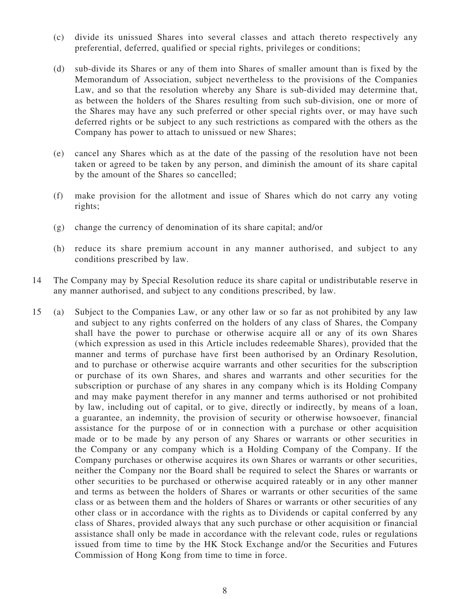- (c) divide its unissued Shares into several classes and attach thereto respectively any preferential, deferred, qualified or special rights, privileges or conditions;
- (d) sub-divide its Shares or any of them into Shares of smaller amount than is fixed by the Memorandum of Association, subject nevertheless to the provisions of the Companies Law, and so that the resolution whereby any Share is sub-divided may determine that, as between the holders of the Shares resulting from such sub-division, one or more of the Shares may have any such preferred or other special rights over, or may have such deferred rights or be subject to any such restrictions as compared with the others as the Company has power to attach to unissued or new Shares;
- (e) cancel any Shares which as at the date of the passing of the resolution have not been taken or agreed to be taken by any person, and diminish the amount of its share capital by the amount of the Shares so cancelled;
- (f) make provision for the allotment and issue of Shares which do not carry any voting rights;
- (g) change the currency of denomination of its share capital; and/or
- (h) reduce its share premium account in any manner authorised, and subject to any conditions prescribed by law.
- 14 The Company may by Special Resolution reduce its share capital or undistributable reserve in any manner authorised, and subject to any conditions prescribed, by law.
- 15 (a) Subject to the Companies Law, or any other law or so far as not prohibited by any law and subject to any rights conferred on the holders of any class of Shares, the Company shall have the power to purchase or otherwise acquire all or any of its own Shares (which expression as used in this Article includes redeemable Shares), provided that the manner and terms of purchase have first been authorised by an Ordinary Resolution, and to purchase or otherwise acquire warrants and other securities for the subscription or purchase of its own Shares, and shares and warrants and other securities for the subscription or purchase of any shares in any company which is its Holding Company and may make payment therefor in any manner and terms authorised or not prohibited by law, including out of capital, or to give, directly or indirectly, by means of a loan, a guarantee, an indemnity, the provision of security or otherwise howsoever, financial assistance for the purpose of or in connection with a purchase or other acquisition made or to be made by any person of any Shares or warrants or other securities in the Company or any company which is a Holding Company of the Company. If the Company purchases or otherwise acquires its own Shares or warrants or other securities, neither the Company nor the Board shall be required to select the Shares or warrants or other securities to be purchased or otherwise acquired rateably or in any other manner and terms as between the holders of Shares or warrants or other securities of the same class or as between them and the holders of Shares or warrants or other securities of any other class or in accordance with the rights as to Dividends or capital conferred by any class of Shares, provided always that any such purchase or other acquisition or financial assistance shall only be made in accordance with the relevant code, rules or regulations issued from time to time by the HK Stock Exchange and/or the Securities and Futures Commission of Hong Kong from time to time in force.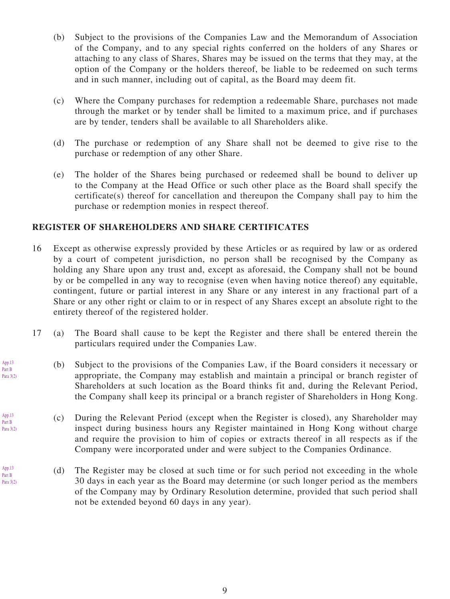- (b) Subject to the provisions of the Companies Law and the Memorandum of Association of the Company, and to any special rights conferred on the holders of any Shares or attaching to any class of Shares, Shares may be issued on the terms that they may, at the option of the Company or the holders thereof, be liable to be redeemed on such terms and in such manner, including out of capital, as the Board may deem fit.
- (c) Where the Company purchases for redemption a redeemable Share, purchases not made through the market or by tender shall be limited to a maximum price, and if purchases are by tender, tenders shall be available to all Shareholders alike.
- (d) The purchase or redemption of any Share shall not be deemed to give rise to the purchase or redemption of any other Share.
- (e) The holder of the Shares being purchased or redeemed shall be bound to deliver up to the Company at the Head Office or such other place as the Board shall specify the certificate(s) thereof for cancellation and thereupon the Company shall pay to him the purchase or redemption monies in respect thereof.

#### **REGISTER OF SHAREHOLDERS AND SHARE CERTIFICATES**

- 16 Except as otherwise expressly provided by these Articles or as required by law or as ordered by a court of competent jurisdiction, no person shall be recognised by the Company as holding any Share upon any trust and, except as aforesaid, the Company shall not be bound by or be compelled in any way to recognise (even when having notice thereof) any equitable, contingent, future or partial interest in any Share or any interest in any fractional part of a Share or any other right or claim to or in respect of any Shares except an absolute right to the entirety thereof of the registered holder.
- 17 (a) The Board shall cause to be kept the Register and there shall be entered therein the particulars required under the Companies Law.
	- (b) Subject to the provisions of the Companies Law, if the Board considers it necessary or appropriate, the Company may establish and maintain a principal or branch register of Shareholders at such location as the Board thinks fit and, during the Relevant Period, the Company shall keep its principal or a branch register of Shareholders in Hong Kong.
	- (c) During the Relevant Period (except when the Register is closed), any Shareholder may inspect during business hours any Register maintained in Hong Kong without charge and require the provision to him of copies or extracts thereof in all respects as if the Company were incorporated under and were subject to the Companies Ordinance.
	- (d) The Register may be closed at such time or for such period not exceeding in the whole 30 days in each year as the Board may determine (or such longer period as the members of the Company may by Ordinary Resolution determine, provided that such period shall not be extended beyond 60 days in any year).

App.13 Part B Para 3(2)

App.13 Part B Para 3(2)

App.13 Part B Para 3(2)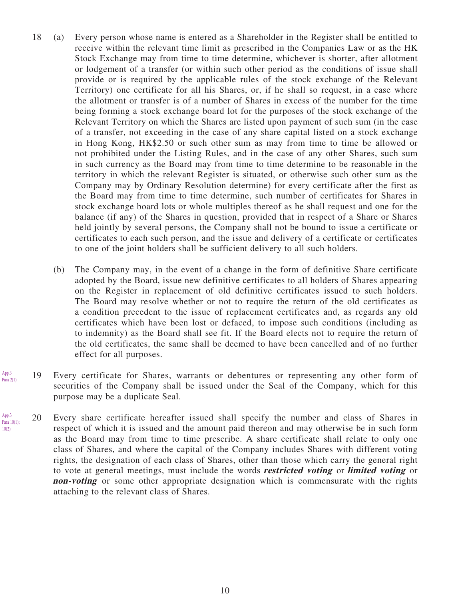- 18 (a) Every person whose name is entered as a Shareholder in the Register shall be entitled to receive within the relevant time limit as prescribed in the Companies Law or as the HK Stock Exchange may from time to time determine, whichever is shorter, after allotment or lodgement of a transfer (or within such other period as the conditions of issue shall provide or is required by the applicable rules of the stock exchange of the Relevant Territory) one certificate for all his Shares, or, if he shall so request, in a case where the allotment or transfer is of a number of Shares in excess of the number for the time being forming a stock exchange board lot for the purposes of the stock exchange of the Relevant Territory on which the Shares are listed upon payment of such sum (in the case of a transfer, not exceeding in the case of any share capital listed on a stock exchange in Hong Kong, HK\$2.50 or such other sum as may from time to time be allowed or not prohibited under the Listing Rules, and in the case of any other Shares, such sum in such currency as the Board may from time to time determine to be reasonable in the territory in which the relevant Register is situated, or otherwise such other sum as the Company may by Ordinary Resolution determine) for every certificate after the first as the Board may from time to time determine, such number of certificates for Shares in stock exchange board lots or whole multiples thereof as he shall request and one for the balance (if any) of the Shares in question, provided that in respect of a Share or Shares held jointly by several persons, the Company shall not be bound to issue a certificate or certificates to each such person, and the issue and delivery of a certificate or certificates to one of the joint holders shall be sufficient delivery to all such holders.
	- (b) The Company may, in the event of a change in the form of definitive Share certificate adopted by the Board, issue new definitive certificates to all holders of Shares appearing on the Register in replacement of old definitive certificates issued to such holders. The Board may resolve whether or not to require the return of the old certificates as a condition precedent to the issue of replacement certificates and, as regards any old certificates which have been lost or defaced, to impose such conditions (including as to indemnity) as the Board shall see fit. If the Board elects not to require the return of the old certificates, the same shall be deemed to have been cancelled and of no further effect for all purposes.
- 19 Every certificate for Shares, warrants or debentures or representing any other form of securities of the Company shall be issued under the Seal of the Company, which for this purpose may be a duplicate Seal. App.3 Para 2(1)
- 20 Every share certificate hereafter issued shall specify the number and class of Shares in respect of which it is issued and the amount paid thereon and may otherwise be in such form as the Board may from time to time prescribe. A share certificate shall relate to only one class of Shares, and where the capital of the Company includes Shares with different voting rights, the designation of each class of Shares, other than those which carry the general right to vote at general meetings, must include the words **restricted voting** or **limited voting** or **non-voting** or some other appropriate designation which is commensurate with the rights attaching to the relevant class of Shares. App.3 Para 10(1); 10(2)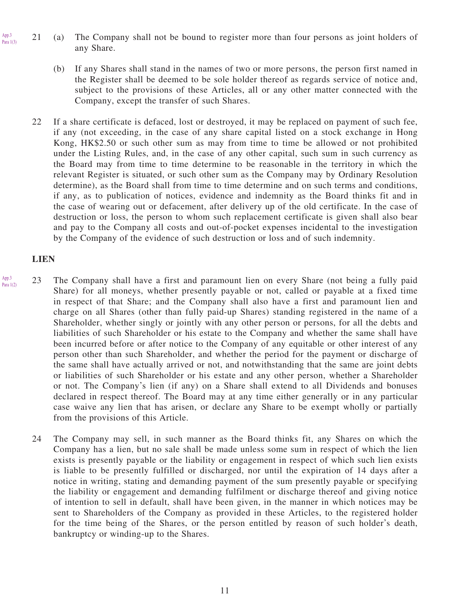- 21 (a) The Company shall not be bound to register more than four persons as joint holders of any Share. Para  $1(3)$ 
	- (b) If any Shares shall stand in the names of two or more persons, the person first named in the Register shall be deemed to be sole holder thereof as regards service of notice and, subject to the provisions of these Articles, all or any other matter connected with the Company, except the transfer of such Shares.
	- 22 If a share certificate is defaced, lost or destroyed, it may be replaced on payment of such fee, if any (not exceeding, in the case of any share capital listed on a stock exchange in Hong Kong, HK\$2.50 or such other sum as may from time to time be allowed or not prohibited under the Listing Rules, and, in the case of any other capital, such sum in such currency as the Board may from time to time determine to be reasonable in the territory in which the relevant Register is situated, or such other sum as the Company may by Ordinary Resolution determine), as the Board shall from time to time determine and on such terms and conditions, if any, as to publication of notices, evidence and indemnity as the Board thinks fit and in the case of wearing out or defacement, after delivery up of the old certificate. In the case of destruction or loss, the person to whom such replacement certificate is given shall also bear and pay to the Company all costs and out-of-pocket expenses incidental to the investigation by the Company of the evidence of such destruction or loss and of such indemnity.

#### **LIEN**

App.3

- 23 The Company shall have a first and paramount lien on every Share (not being a fully paid Share) for all moneys, whether presently payable or not, called or payable at a fixed time in respect of that Share; and the Company shall also have a first and paramount lien and charge on all Shares (other than fully paid-up Shares) standing registered in the name of a Shareholder, whether singly or jointly with any other person or persons, for all the debts and liabilities of such Shareholder or his estate to the Company and whether the same shall have been incurred before or after notice to the Company of any equitable or other interest of any person other than such Shareholder, and whether the period for the payment or discharge of the same shall have actually arrived or not, and notwithstanding that the same are joint debts or liabilities of such Shareholder or his estate and any other person, whether a Shareholder or not. The Company's lien (if any) on a Share shall extend to all Dividends and bonuses declared in respect thereof. The Board may at any time either generally or in any particular case waive any lien that has arisen, or declare any Share to be exempt wholly or partially from the provisions of this Article. App.3 Para 1(2)
	- 24 The Company may sell, in such manner as the Board thinks fit, any Shares on which the Company has a lien, but no sale shall be made unless some sum in respect of which the lien exists is presently payable or the liability or engagement in respect of which such lien exists is liable to be presently fulfilled or discharged, nor until the expiration of 14 days after a notice in writing, stating and demanding payment of the sum presently payable or specifying the liability or engagement and demanding fulfilment or discharge thereof and giving notice of intention to sell in default, shall have been given, in the manner in which notices may be sent to Shareholders of the Company as provided in these Articles, to the registered holder for the time being of the Shares, or the person entitled by reason of such holder's death, bankruptcy or winding-up to the Shares.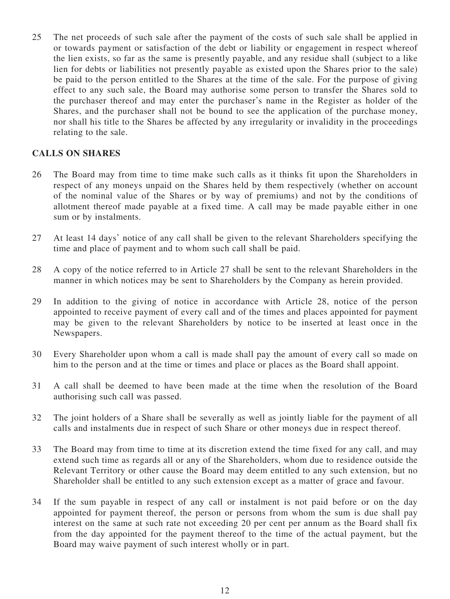25 The net proceeds of such sale after the payment of the costs of such sale shall be applied in or towards payment or satisfaction of the debt or liability or engagement in respect whereof the lien exists, so far as the same is presently payable, and any residue shall (subject to a like lien for debts or liabilities not presently payable as existed upon the Shares prior to the sale) be paid to the person entitled to the Shares at the time of the sale. For the purpose of giving effect to any such sale, the Board may authorise some person to transfer the Shares sold to the purchaser thereof and may enter the purchaser's name in the Register as holder of the Shares, and the purchaser shall not be bound to see the application of the purchase money, nor shall his title to the Shares be affected by any irregularity or invalidity in the proceedings relating to the sale.

# **CALLS ON SHARES**

- 26 The Board may from time to time make such calls as it thinks fit upon the Shareholders in respect of any moneys unpaid on the Shares held by them respectively (whether on account of the nominal value of the Shares or by way of premiums) and not by the conditions of allotment thereof made payable at a fixed time. A call may be made payable either in one sum or by instalments.
- 27 At least 14 days' notice of any call shall be given to the relevant Shareholders specifying the time and place of payment and to whom such call shall be paid.
- 28 A copy of the notice referred to in Article 27 shall be sent to the relevant Shareholders in the manner in which notices may be sent to Shareholders by the Company as herein provided.
- 29 In addition to the giving of notice in accordance with Article 28, notice of the person appointed to receive payment of every call and of the times and places appointed for payment may be given to the relevant Shareholders by notice to be inserted at least once in the Newspapers.
- 30 Every Shareholder upon whom a call is made shall pay the amount of every call so made on him to the person and at the time or times and place or places as the Board shall appoint.
- 31 A call shall be deemed to have been made at the time when the resolution of the Board authorising such call was passed.
- 32 The joint holders of a Share shall be severally as well as jointly liable for the payment of all calls and instalments due in respect of such Share or other moneys due in respect thereof.
- 33 The Board may from time to time at its discretion extend the time fixed for any call, and may extend such time as regards all or any of the Shareholders, whom due to residence outside the Relevant Territory or other cause the Board may deem entitled to any such extension, but no Shareholder shall be entitled to any such extension except as a matter of grace and favour.
- 34 If the sum payable in respect of any call or instalment is not paid before or on the day appointed for payment thereof, the person or persons from whom the sum is due shall pay interest on the same at such rate not exceeding 20 per cent per annum as the Board shall fix from the day appointed for the payment thereof to the time of the actual payment, but the Board may waive payment of such interest wholly or in part.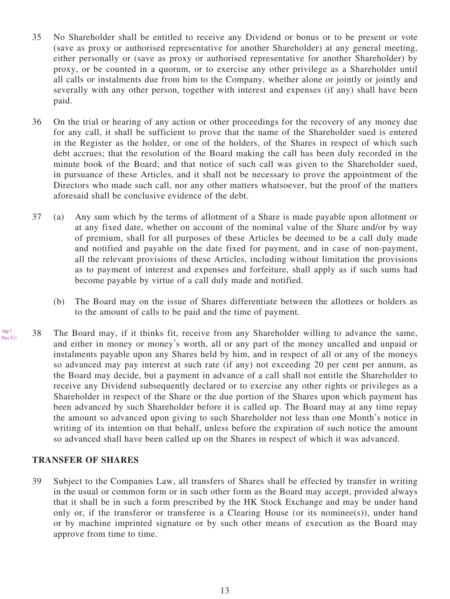- 35 No Shareholder shall be entitled to receive any Dividend or bonus or to be present or vote (save as proxy or authorised representative for another Shareholder) at any general meeting, either personally or (save as proxy or authorised representative for another Shareholder) by proxy, or be counted in a quorum, or to exercise any other privilege as a Shareholder until all calls or instalments due from him to the Company, whether alone or jointly or jointly and severally with any other person, together with interest and expenses (if any) shall have been paid.
- 36 On the trial or hearing of any action or other proceedings for the recovery of any money due for any call, it shall be sufficient to prove that the name of the Shareholder sued is entered in the Register as the holder, or one of the holders, of the Shares in respect of which such debt accrues; that the resolution of the Board making the call has been duly recorded in the minute book of the Board; and that notice of such call was given to the Shareholder sued, in pursuance of these Articles, and it shall not be necessary to prove the appointment of the Directors who made such call, nor any other matters whatsoever, but the proof of the matters aforesaid shall be conclusive evidence of the debt.
- 37 (a) Any sum which by the terms of allotment of a Share is made payable upon allotment or at any fixed date, whether on account of the nominal value of the Share and/or by way of premium, shall for all purposes of these Articles be deemed to be a call duly made and notified and payable on the date fixed for payment, and in case of non-payment, all the relevant provisions of these Articles, including without limitation the provisions as to payment of interest and expenses and forfeiture, shall apply as if such sums had become payable by virtue of a call duly made and notified.
	- (b) The Board may on the issue of Shares differentiate between the allottees or holders as to the amount of calls to be paid and the time of payment.
- 38 The Board may, if it thinks fit, receive from any Shareholder willing to advance the same, and either in money or money's worth, all or any part of the money uncalled and unpaid or instalments payable upon any Shares held by him, and in respect of all or any of the moneys so advanced may pay interest at such rate (if any) not exceeding 20 per cent per annum, as the Board may decide, but a payment in advance of a call shall not entitle the Shareholder to receive any Dividend subsequently declared or to exercise any other rights or privileges as a Shareholder in respect of the Share or the due portion of the Shares upon which payment has been advanced by such Shareholder before it is called up. The Board may at any time repay the amount so advanced upon giving to such Shareholder not less than one Month's notice in writing of its intention on that behalf, unless before the expiration of such notice the amount so advanced shall have been called up on the Shares in respect of which it was advanced. App.3 Para 3(1)

#### **TRANSFER OF SHARES**

39 Subject to the Companies Law, all transfers of Shares shall be effected by transfer in writing in the usual or common form or in such other form as the Board may accept, provided always that it shall be in such a form prescribed by the HK Stock Exchange and may be under hand only or, if the transferor or transferee is a Clearing House (or its nominee(s)), under hand or by machine imprinted signature or by such other means of execution as the Board may approve from time to time.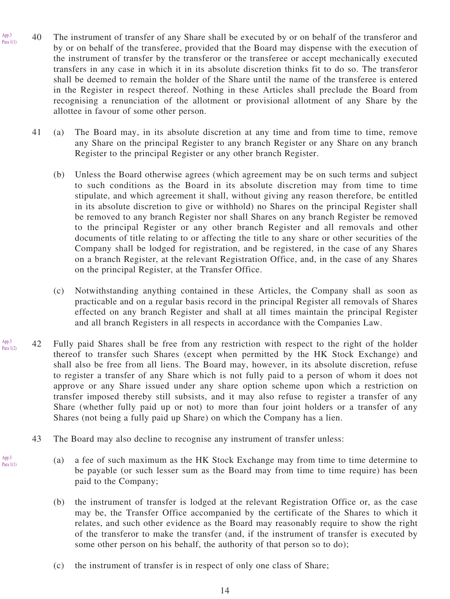40 The instrument of transfer of any Share shall be executed by or on behalf of the transferor and by or on behalf of the transferee, provided that the Board may dispense with the execution of the instrument of transfer by the transferor or the transferee or accept mechanically executed transfers in any case in which it in its absolute discretion thinks fit to do so. The transferor shall be deemed to remain the holder of the Share until the name of the transferee is entered in the Register in respect thereof. Nothing in these Articles shall preclude the Board from recognising a renunciation of the allotment or provisional allotment of any Share by the allottee in favour of some other person. Para  $1(1)$ 

App.3

App.3 Para 1(1)

- 41 (a) The Board may, in its absolute discretion at any time and from time to time, remove any Share on the principal Register to any branch Register or any Share on any branch Register to the principal Register or any other branch Register.
	- (b) Unless the Board otherwise agrees (which agreement may be on such terms and subject to such conditions as the Board in its absolute discretion may from time to time stipulate, and which agreement it shall, without giving any reason therefore, be entitled in its absolute discretion to give or withhold) no Shares on the principal Register shall be removed to any branch Register nor shall Shares on any branch Register be removed to the principal Register or any other branch Register and all removals and other documents of title relating to or affecting the title to any share or other securities of the Company shall be lodged for registration, and be registered, in the case of any Shares on a branch Register, at the relevant Registration Office, and, in the case of any Shares on the principal Register, at the Transfer Office.
	- (c) Notwithstanding anything contained in these Articles, the Company shall as soon as practicable and on a regular basis record in the principal Register all removals of Shares effected on any branch Register and shall at all times maintain the principal Register and all branch Registers in all respects in accordance with the Companies Law.
- 42 Fully paid Shares shall be free from any restriction with respect to the right of the holder thereof to transfer such Shares (except when permitted by the HK Stock Exchange) and shall also be free from all liens. The Board may, however, in its absolute discretion, refuse to register a transfer of any Share which is not fully paid to a person of whom it does not approve or any Share issued under any share option scheme upon which a restriction on transfer imposed thereby still subsists, and it may also refuse to register a transfer of any Share (whether fully paid up or not) to more than four joint holders or a transfer of any Shares (not being a fully paid up Share) on which the Company has a lien. App.3 Para 1(2)
	- 43 The Board may also decline to recognise any instrument of transfer unless:
		- (a) a fee of such maximum as the HK Stock Exchange may from time to time determine to be payable (or such lesser sum as the Board may from time to time require) has been paid to the Company;
			- (b) the instrument of transfer is lodged at the relevant Registration Office or, as the case may be, the Transfer Office accompanied by the certificate of the Shares to which it relates, and such other evidence as the Board may reasonably require to show the right of the transferor to make the transfer (and, if the instrument of transfer is executed by some other person on his behalf, the authority of that person so to do);
			- (c) the instrument of transfer is in respect of only one class of Share;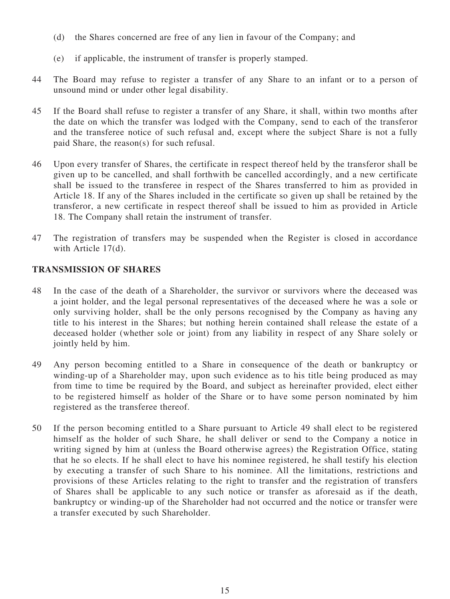- (d) the Shares concerned are free of any lien in favour of the Company; and
- (e) if applicable, the instrument of transfer is properly stamped.
- 44 The Board may refuse to register a transfer of any Share to an infant or to a person of unsound mind or under other legal disability.
- 45 If the Board shall refuse to register a transfer of any Share, it shall, within two months after the date on which the transfer was lodged with the Company, send to each of the transferor and the transferee notice of such refusal and, except where the subject Share is not a fully paid Share, the reason(s) for such refusal.
- 46 Upon every transfer of Shares, the certificate in respect thereof held by the transferor shall be given up to be cancelled, and shall forthwith be cancelled accordingly, and a new certificate shall be issued to the transferee in respect of the Shares transferred to him as provided in Article 18. If any of the Shares included in the certificate so given up shall be retained by the transferor, a new certificate in respect thereof shall be issued to him as provided in Article 18. The Company shall retain the instrument of transfer.
- 47 The registration of transfers may be suspended when the Register is closed in accordance with Article 17(d).

# **TRANSMISSION OF SHARES**

- 48 In the case of the death of a Shareholder, the survivor or survivors where the deceased was a joint holder, and the legal personal representatives of the deceased where he was a sole or only surviving holder, shall be the only persons recognised by the Company as having any title to his interest in the Shares; but nothing herein contained shall release the estate of a deceased holder (whether sole or joint) from any liability in respect of any Share solely or jointly held by him.
- 49 Any person becoming entitled to a Share in consequence of the death or bankruptcy or winding-up of a Shareholder may, upon such evidence as to his title being produced as may from time to time be required by the Board, and subject as hereinafter provided, elect either to be registered himself as holder of the Share or to have some person nominated by him registered as the transferee thereof.
- 50 If the person becoming entitled to a Share pursuant to Article 49 shall elect to be registered himself as the holder of such Share, he shall deliver or send to the Company a notice in writing signed by him at (unless the Board otherwise agrees) the Registration Office, stating that he so elects. If he shall elect to have his nominee registered, he shall testify his election by executing a transfer of such Share to his nominee. All the limitations, restrictions and provisions of these Articles relating to the right to transfer and the registration of transfers of Shares shall be applicable to any such notice or transfer as aforesaid as if the death, bankruptcy or winding-up of the Shareholder had not occurred and the notice or transfer were a transfer executed by such Shareholder.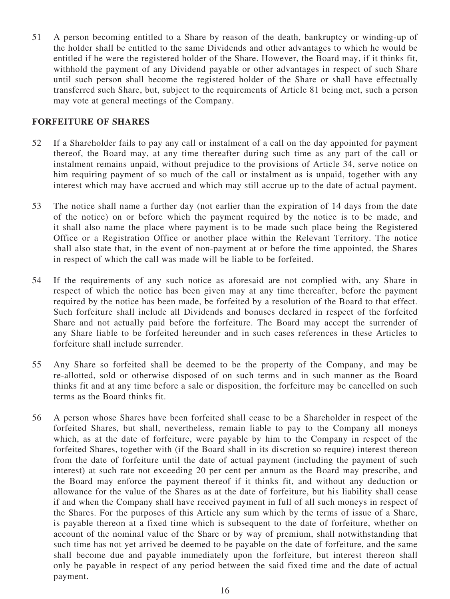51 A person becoming entitled to a Share by reason of the death, bankruptcy or winding-up of the holder shall be entitled to the same Dividends and other advantages to which he would be entitled if he were the registered holder of the Share. However, the Board may, if it thinks fit, withhold the payment of any Dividend payable or other advantages in respect of such Share until such person shall become the registered holder of the Share or shall have effectually transferred such Share, but, subject to the requirements of Article 81 being met, such a person may vote at general meetings of the Company.

## **FORFEITURE OF SHARES**

- 52 If a Shareholder fails to pay any call or instalment of a call on the day appointed for payment thereof, the Board may, at any time thereafter during such time as any part of the call or instalment remains unpaid, without prejudice to the provisions of Article 34, serve notice on him requiring payment of so much of the call or instalment as is unpaid, together with any interest which may have accrued and which may still accrue up to the date of actual payment.
- 53 The notice shall name a further day (not earlier than the expiration of 14 days from the date of the notice) on or before which the payment required by the notice is to be made, and it shall also name the place where payment is to be made such place being the Registered Office or a Registration Office or another place within the Relevant Territory. The notice shall also state that, in the event of non-payment at or before the time appointed, the Shares in respect of which the call was made will be liable to be forfeited.
- 54 If the requirements of any such notice as aforesaid are not complied with, any Share in respect of which the notice has been given may at any time thereafter, before the payment required by the notice has been made, be forfeited by a resolution of the Board to that effect. Such forfeiture shall include all Dividends and bonuses declared in respect of the forfeited Share and not actually paid before the forfeiture. The Board may accept the surrender of any Share liable to be forfeited hereunder and in such cases references in these Articles to forfeiture shall include surrender.
- 55 Any Share so forfeited shall be deemed to be the property of the Company, and may be re-allotted, sold or otherwise disposed of on such terms and in such manner as the Board thinks fit and at any time before a sale or disposition, the forfeiture may be cancelled on such terms as the Board thinks fit.
- 56 A person whose Shares have been forfeited shall cease to be a Shareholder in respect of the forfeited Shares, but shall, nevertheless, remain liable to pay to the Company all moneys which, as at the date of forfeiture, were payable by him to the Company in respect of the forfeited Shares, together with (if the Board shall in its discretion so require) interest thereon from the date of forfeiture until the date of actual payment (including the payment of such interest) at such rate not exceeding 20 per cent per annum as the Board may prescribe, and the Board may enforce the payment thereof if it thinks fit, and without any deduction or allowance for the value of the Shares as at the date of forfeiture, but his liability shall cease if and when the Company shall have received payment in full of all such moneys in respect of the Shares. For the purposes of this Article any sum which by the terms of issue of a Share, is payable thereon at a fixed time which is subsequent to the date of forfeiture, whether on account of the nominal value of the Share or by way of premium, shall notwithstanding that such time has not yet arrived be deemed to be payable on the date of forfeiture, and the same shall become due and payable immediately upon the forfeiture, but interest thereon shall only be payable in respect of any period between the said fixed time and the date of actual payment.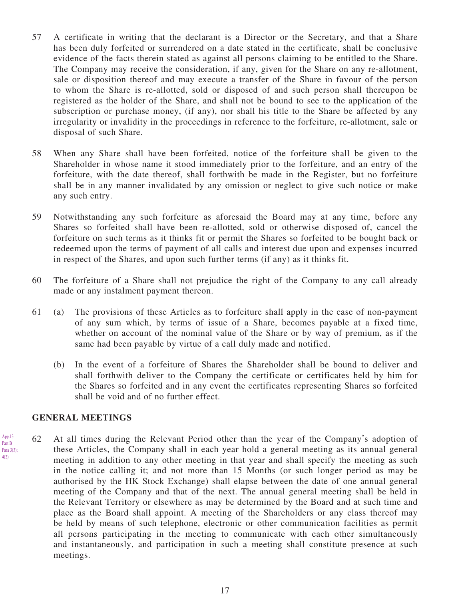- 57 A certificate in writing that the declarant is a Director or the Secretary, and that a Share has been duly forfeited or surrendered on a date stated in the certificate, shall be conclusive evidence of the facts therein stated as against all persons claiming to be entitled to the Share. The Company may receive the consideration, if any, given for the Share on any re-allotment, sale or disposition thereof and may execute a transfer of the Share in favour of the person to whom the Share is re-allotted, sold or disposed of and such person shall thereupon be registered as the holder of the Share, and shall not be bound to see to the application of the subscription or purchase money, (if any), nor shall his title to the Share be affected by any irregularity or invalidity in the proceedings in reference to the forfeiture, re-allotment, sale or disposal of such Share.
- 58 When any Share shall have been forfeited, notice of the forfeiture shall be given to the Shareholder in whose name it stood immediately prior to the forfeiture, and an entry of the forfeiture, with the date thereof, shall forthwith be made in the Register, but no forfeiture shall be in any manner invalidated by any omission or neglect to give such notice or make any such entry.
- 59 Notwithstanding any such forfeiture as aforesaid the Board may at any time, before any Shares so forfeited shall have been re-allotted, sold or otherwise disposed of, cancel the forfeiture on such terms as it thinks fit or permit the Shares so forfeited to be bought back or redeemed upon the terms of payment of all calls and interest due upon and expenses incurred in respect of the Shares, and upon such further terms (if any) as it thinks fit.
- 60 The forfeiture of a Share shall not prejudice the right of the Company to any call already made or any instalment payment thereon.
- 61 (a) The provisions of these Articles as to forfeiture shall apply in the case of non-payment of any sum which, by terms of issue of a Share, becomes payable at a fixed time, whether on account of the nominal value of the Share or by way of premium, as if the same had been payable by virtue of a call duly made and notified.
	- (b) In the event of a forfeiture of Shares the Shareholder shall be bound to deliver and shall forthwith deliver to the Company the certificate or certificates held by him for the Shares so forfeited and in any event the certificates representing Shares so forfeited shall be void and of no further effect.

#### **GENERAL MEETINGS**

62 At all times during the Relevant Period other than the year of the Company's adoption of these Articles, the Company shall in each year hold a general meeting as its annual general meeting in addition to any other meeting in that year and shall specify the meeting as such in the notice calling it; and not more than 15 Months (or such longer period as may be authorised by the HK Stock Exchange) shall elapse between the date of one annual general meeting of the Company and that of the next. The annual general meeting shall be held in the Relevant Territory or elsewhere as may be determined by the Board and at such time and place as the Board shall appoint. A meeting of the Shareholders or any class thereof may be held by means of such telephone, electronic or other communication facilities as permit all persons participating in the meeting to communicate with each other simultaneously and instantaneously, and participation in such a meeting shall constitute presence at such meetings.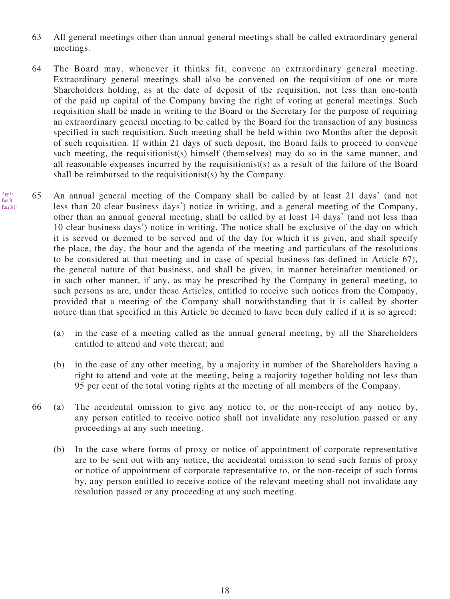- 63 All general meetings other than annual general meetings shall be called extraordinary general meetings.
- 64 The Board may, whenever it thinks fit, convene an extraordinary general meeting. Extraordinary general meetings shall also be convened on the requisition of one or more Shareholders holding, as at the date of deposit of the requisition, not less than one-tenth of the paid up capital of the Company having the right of voting at general meetings. Such requisition shall be made in writing to the Board or the Secretary for the purpose of requiring an extraordinary general meeting to be called by the Board for the transaction of any business specified in such requisition. Such meeting shall be held within two Months after the deposit of such requisition. If within 21 days of such deposit, the Board fails to proceed to convene such meeting, the requisitionist(s) himself (themselves) may do so in the same manner, and all reasonable expenses incurred by the requisitionist(s) as a result of the failure of the Board shall be reimbursed to the requisitionist(s) by the Company.
- 65 An annual general meeting of the Company shall be called by at least 21 days' (and not less than 20 clear business days') notice in writing, and a general meeting of the Company, other than an annual general meeting, shall be called by at least 14 days' (and not less than 10 clear business days') notice in writing. The notice shall be exclusive of the day on which it is served or deemed to be served and of the day for which it is given, and shall specify the place, the day, the hour and the agenda of the meeting and particulars of the resolutions to be considered at that meeting and in case of special business (as defined in Article 67), the general nature of that business, and shall be given, in manner hereinafter mentioned or in such other manner, if any, as may be prescribed by the Company in general meeting, to such persons as are, under these Articles, entitled to receive such notices from the Company, provided that a meeting of the Company shall notwithstanding that it is called by shorter notice than that specified in this Article be deemed to have been duly called if it is so agreed:
	- (a) in the case of a meeting called as the annual general meeting, by all the Shareholders entitled to attend and vote thereat; and
	- (b) in the case of any other meeting, by a majority in number of the Shareholders having a right to attend and vote at the meeting, being a majority together holding not less than 95 per cent of the total voting rights at the meeting of all members of the Company.
	- 66 (a) The accidental omission to give any notice to, or the non-receipt of any notice by, any person entitled to receive notice shall not invalidate any resolution passed or any proceedings at any such meeting.
		- (b) In the case where forms of proxy or notice of appointment of corporate representative are to be sent out with any notice, the accidental omission to send such forms of proxy or notice of appointment of corporate representative to, or the non-receipt of such forms by, any person entitled to receive notice of the relevant meeting shall not invalidate any resolution passed or any proceeding at any such meeting.

App.13

Part B Para 3(1)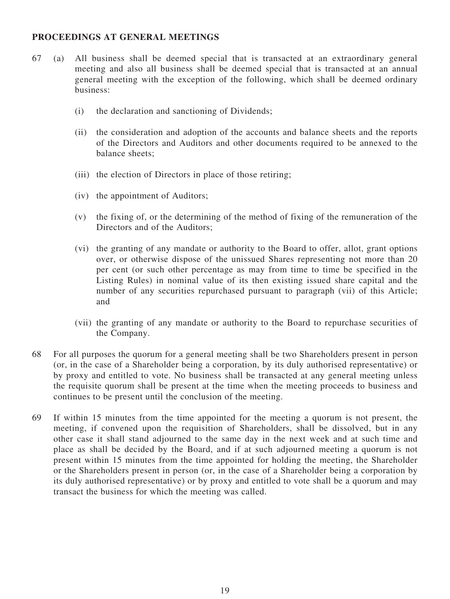# **PROCEEDINGS AT GENERAL MEETINGS**

- 67 (a) All business shall be deemed special that is transacted at an extraordinary general meeting and also all business shall be deemed special that is transacted at an annual general meeting with the exception of the following, which shall be deemed ordinary business:
	- (i) the declaration and sanctioning of Dividends;
	- (ii) the consideration and adoption of the accounts and balance sheets and the reports of the Directors and Auditors and other documents required to be annexed to the balance sheets;
	- (iii) the election of Directors in place of those retiring;
	- (iv) the appointment of Auditors;
	- (v) the fixing of, or the determining of the method of fixing of the remuneration of the Directors and of the Auditors;
	- (vi) the granting of any mandate or authority to the Board to offer, allot, grant options over, or otherwise dispose of the unissued Shares representing not more than 20 per cent (or such other percentage as may from time to time be specified in the Listing Rules) in nominal value of its then existing issued share capital and the number of any securities repurchased pursuant to paragraph (vii) of this Article; and
	- (vii) the granting of any mandate or authority to the Board to repurchase securities of the Company.
- 68 For all purposes the quorum for a general meeting shall be two Shareholders present in person (or, in the case of a Shareholder being a corporation, by its duly authorised representative) or by proxy and entitled to vote. No business shall be transacted at any general meeting unless the requisite quorum shall be present at the time when the meeting proceeds to business and continues to be present until the conclusion of the meeting.
- 69 If within 15 minutes from the time appointed for the meeting a quorum is not present, the meeting, if convened upon the requisition of Shareholders, shall be dissolved, but in any other case it shall stand adjourned to the same day in the next week and at such time and place as shall be decided by the Board, and if at such adjourned meeting a quorum is not present within 15 minutes from the time appointed for holding the meeting, the Shareholder or the Shareholders present in person (or, in the case of a Shareholder being a corporation by its duly authorised representative) or by proxy and entitled to vote shall be a quorum and may transact the business for which the meeting was called.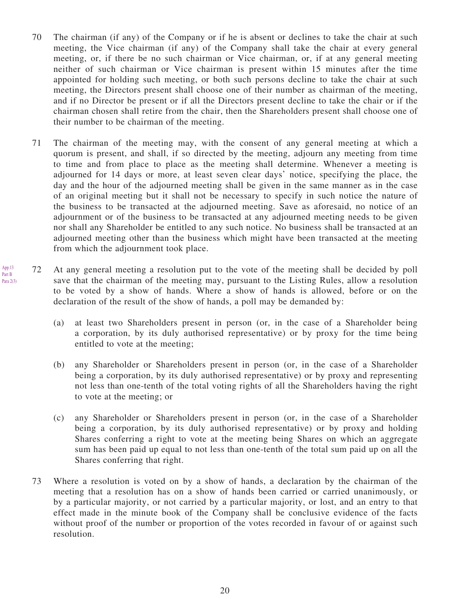- 70 The chairman (if any) of the Company or if he is absent or declines to take the chair at such meeting, the Vice chairman (if any) of the Company shall take the chair at every general meeting, or, if there be no such chairman or Vice chairman, or, if at any general meeting neither of such chairman or Vice chairman is present within 15 minutes after the time appointed for holding such meeting, or both such persons decline to take the chair at such meeting, the Directors present shall choose one of their number as chairman of the meeting, and if no Director be present or if all the Directors present decline to take the chair or if the chairman chosen shall retire from the chair, then the Shareholders present shall choose one of their number to be chairman of the meeting.
- 71 The chairman of the meeting may, with the consent of any general meeting at which a quorum is present, and shall, if so directed by the meeting, adjourn any meeting from time to time and from place to place as the meeting shall determine. Whenever a meeting is adjourned for 14 days or more, at least seven clear days' notice, specifying the place, the day and the hour of the adjourned meeting shall be given in the same manner as in the case of an original meeting but it shall not be necessary to specify in such notice the nature of the business to be transacted at the adjourned meeting. Save as aforesaid, no notice of an adjournment or of the business to be transacted at any adjourned meeting needs to be given nor shall any Shareholder be entitled to any such notice. No business shall be transacted at an adjourned meeting other than the business which might have been transacted at the meeting from which the adjournment took place.
- 72 At any general meeting a resolution put to the vote of the meeting shall be decided by poll save that the chairman of the meeting may, pursuant to the Listing Rules, allow a resolution to be voted by a show of hands. Where a show of hands is allowed, before or on the declaration of the result of the show of hands, a poll may be demanded by: App.13 Part B Para 2(3)
	- (a) at least two Shareholders present in person (or, in the case of a Shareholder being a corporation, by its duly authorised representative) or by proxy for the time being entitled to vote at the meeting;
	- (b) any Shareholder or Shareholders present in person (or, in the case of a Shareholder being a corporation, by its duly authorised representative) or by proxy and representing not less than one-tenth of the total voting rights of all the Shareholders having the right to vote at the meeting; or
	- (c) any Shareholder or Shareholders present in person (or, in the case of a Shareholder being a corporation, by its duly authorised representative) or by proxy and holding Shares conferring a right to vote at the meeting being Shares on which an aggregate sum has been paid up equal to not less than one-tenth of the total sum paid up on all the Shares conferring that right.
	- 73 Where a resolution is voted on by a show of hands, a declaration by the chairman of the meeting that a resolution has on a show of hands been carried or carried unanimously, or by a particular majority, or not carried by a particular majority, or lost, and an entry to that effect made in the minute book of the Company shall be conclusive evidence of the facts without proof of the number or proportion of the votes recorded in favour of or against such resolution.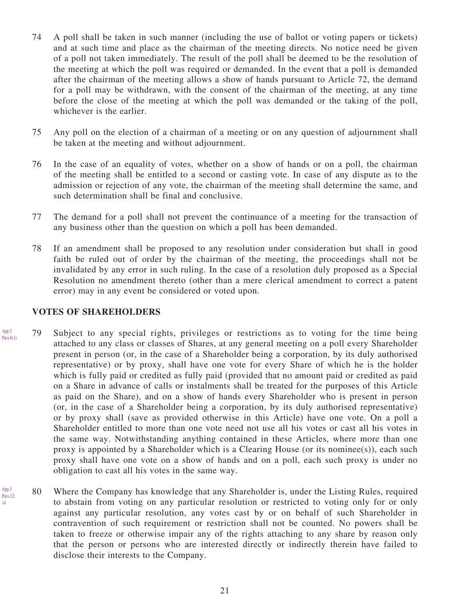- 74 A poll shall be taken in such manner (including the use of ballot or voting papers or tickets) and at such time and place as the chairman of the meeting directs. No notice need be given of a poll not taken immediately. The result of the poll shall be deemed to be the resolution of the meeting at which the poll was required or demanded. In the event that a poll is demanded after the chairman of the meeting allows a show of hands pursuant to Article 72, the demand for a poll may be withdrawn, with the consent of the chairman of the meeting, at any time before the close of the meeting at which the poll was demanded or the taking of the poll, whichever is the earlier.
- 75 Any poll on the election of a chairman of a meeting or on any question of adjournment shall be taken at the meeting and without adjournment.
- 76 In the case of an equality of votes, whether on a show of hands or on a poll, the chairman of the meeting shall be entitled to a second or casting vote. In case of any dispute as to the admission or rejection of any vote, the chairman of the meeting shall determine the same, and such determination shall be final and conclusive.
- 77 The demand for a poll shall not prevent the continuance of a meeting for the transaction of any business other than the question on which a poll has been demanded.
- 78 If an amendment shall be proposed to any resolution under consideration but shall in good faith be ruled out of order by the chairman of the meeting, the proceedings shall not be invalidated by any error in such ruling. In the case of a resolution duly proposed as a Special Resolution no amendment thereto (other than a mere clerical amendment to correct a patent error) may in any event be considered or voted upon.

#### **VOTES OF SHAREHOLDERS**

App.3

14

- 79 Subject to any special rights, privileges or restrictions as to voting for the time being attached to any class or classes of Shares, at any general meeting on a poll every Shareholder present in person (or, in the case of a Shareholder being a corporation, by its duly authorised representative) or by proxy, shall have one vote for every Share of which he is the holder which is fully paid or credited as fully paid (provided that no amount paid or credited as paid on a Share in advance of calls or instalments shall be treated for the purposes of this Article as paid on the Share), and on a show of hands every Shareholder who is present in person (or, in the case of a Shareholder being a corporation, by its duly authorised representative) or by proxy shall (save as provided otherwise in this Article) have one vote. On a poll a Shareholder entitled to more than one vote need not use all his votes or cast all his votes in the same way. Notwithstanding anything contained in these Articles, where more than one proxy is appointed by a Shareholder which is a Clearing House (or its nominee(s)), each such proxy shall have one vote on a show of hands and on a poll, each such proxy is under no obligation to cast all his votes in the same way. App.3 Para 6(1)
- 80 Where the Company has knowledge that any Shareholder is, under the Listing Rules, required to abstain from voting on any particular resolution or restricted to voting only for or only against any particular resolution, any votes cast by or on behalf of such Shareholder in contravention of such requirement or restriction shall not be counted. No powers shall be taken to freeze or otherwise impair any of the rights attaching to any share by reason only that the person or persons who are interested directly or indirectly therein have failed to disclose their interests to the Company. Para 12;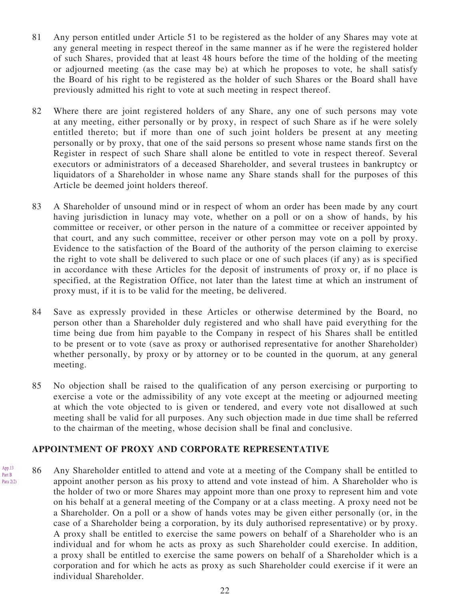- 81 Any person entitled under Article 51 to be registered as the holder of any Shares may vote at any general meeting in respect thereof in the same manner as if he were the registered holder of such Shares, provided that at least 48 hours before the time of the holding of the meeting or adjourned meeting (as the case may be) at which he proposes to vote, he shall satisfy the Board of his right to be registered as the holder of such Shares or the Board shall have previously admitted his right to vote at such meeting in respect thereof.
- 82 Where there are joint registered holders of any Share, any one of such persons may vote at any meeting, either personally or by proxy, in respect of such Share as if he were solely entitled thereto; but if more than one of such joint holders be present at any meeting personally or by proxy, that one of the said persons so present whose name stands first on the Register in respect of such Share shall alone be entitled to vote in respect thereof. Several executors or administrators of a deceased Shareholder, and several trustees in bankruptcy or liquidators of a Shareholder in whose name any Share stands shall for the purposes of this Article be deemed joint holders thereof.
- 83 A Shareholder of unsound mind or in respect of whom an order has been made by any court having jurisdiction in lunacy may vote, whether on a poll or on a show of hands, by his committee or receiver, or other person in the nature of a committee or receiver appointed by that court, and any such committee, receiver or other person may vote on a poll by proxy. Evidence to the satisfaction of the Board of the authority of the person claiming to exercise the right to vote shall be delivered to such place or one of such places (if any) as is specified in accordance with these Articles for the deposit of instruments of proxy or, if no place is specified, at the Registration Office, not later than the latest time at which an instrument of proxy must, if it is to be valid for the meeting, be delivered.
- 84 Save as expressly provided in these Articles or otherwise determined by the Board, no person other than a Shareholder duly registered and who shall have paid everything for the time being due from him payable to the Company in respect of his Shares shall be entitled to be present or to vote (save as proxy or authorised representative for another Shareholder) whether personally, by proxy or by attorney or to be counted in the quorum, at any general meeting.
- 85 No objection shall be raised to the qualification of any person exercising or purporting to exercise a vote or the admissibility of any vote except at the meeting or adjourned meeting at which the vote objected to is given or tendered, and every vote not disallowed at such meeting shall be valid for all purposes. Any such objection made in due time shall be referred to the chairman of the meeting, whose decision shall be final and conclusive.

#### **APPOINTMENT OF PROXY AND CORPORATE REPRESENTATIVE**

86 Any Shareholder entitled to attend and vote at a meeting of the Company shall be entitled to appoint another person as his proxy to attend and vote instead of him. A Shareholder who is the holder of two or more Shares may appoint more than one proxy to represent him and vote on his behalf at a general meeting of the Company or at a class meeting. A proxy need not be a Shareholder. On a poll or a show of hands votes may be given either personally (or, in the case of a Shareholder being a corporation, by its duly authorised representative) or by proxy. A proxy shall be entitled to exercise the same powers on behalf of a Shareholder who is an individual and for whom he acts as proxy as such Shareholder could exercise. In addition, a proxy shall be entitled to exercise the same powers on behalf of a Shareholder which is a corporation and for which he acts as proxy as such Shareholder could exercise if it were an individual Shareholder. App.13 Part B Para 2(2)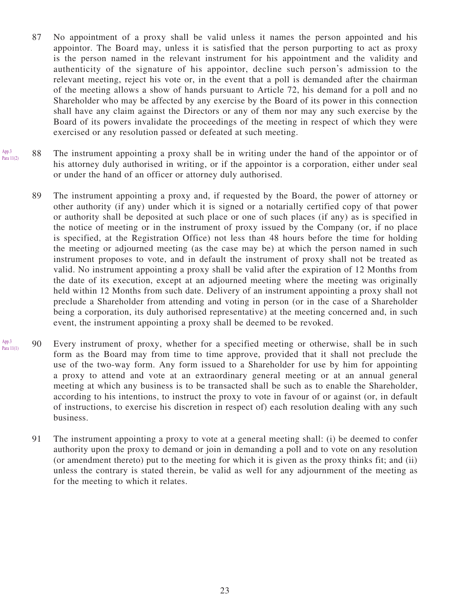- 87 No appointment of a proxy shall be valid unless it names the person appointed and his appointor. The Board may, unless it is satisfied that the person purporting to act as proxy is the person named in the relevant instrument for his appointment and the validity and authenticity of the signature of his appointor, decline such person's admission to the relevant meeting, reject his vote or, in the event that a poll is demanded after the chairman of the meeting allows a show of hands pursuant to Article 72, his demand for a poll and no Shareholder who may be affected by any exercise by the Board of its power in this connection shall have any claim against the Directors or any of them nor may any such exercise by the Board of its powers invalidate the proceedings of the meeting in respect of which they were exercised or any resolution passed or defeated at such meeting.
- 88 The instrument appointing a proxy shall be in writing under the hand of the appointor or of his attorney duly authorised in writing, or if the appointor is a corporation, either under seal or under the hand of an officer or attorney duly authorised. App.3 Para 11(2)
	- 89 The instrument appointing a proxy and, if requested by the Board, the power of attorney or other authority (if any) under which it is signed or a notarially certified copy of that power or authority shall be deposited at such place or one of such places (if any) as is specified in the notice of meeting or in the instrument of proxy issued by the Company (or, if no place is specified, at the Registration Office) not less than 48 hours before the time for holding the meeting or adjourned meeting (as the case may be) at which the person named in such instrument proposes to vote, and in default the instrument of proxy shall not be treated as valid. No instrument appointing a proxy shall be valid after the expiration of 12 Months from the date of its execution, except at an adjourned meeting where the meeting was originally held within 12 Months from such date. Delivery of an instrument appointing a proxy shall not preclude a Shareholder from attending and voting in person (or in the case of a Shareholder being a corporation, its duly authorised representative) at the meeting concerned and, in such event, the instrument appointing a proxy shall be deemed to be revoked.
- 90 Every instrument of proxy, whether for a specified meeting or otherwise, shall be in such form as the Board may from time to time approve, provided that it shall not preclude the use of the two-way form. Any form issued to a Shareholder for use by him for appointing a proxy to attend and vote at an extraordinary general meeting or at an annual general meeting at which any business is to be transacted shall be such as to enable the Shareholder, according to his intentions, to instruct the proxy to vote in favour of or against (or, in default of instructions, to exercise his discretion in respect of) each resolution dealing with any such business. App.3 Para 11(1)
	- 91 The instrument appointing a proxy to vote at a general meeting shall: (i) be deemed to confer authority upon the proxy to demand or join in demanding a poll and to vote on any resolution (or amendment thereto) put to the meeting for which it is given as the proxy thinks fit; and (ii) unless the contrary is stated therein, be valid as well for any adjournment of the meeting as for the meeting to which it relates.

23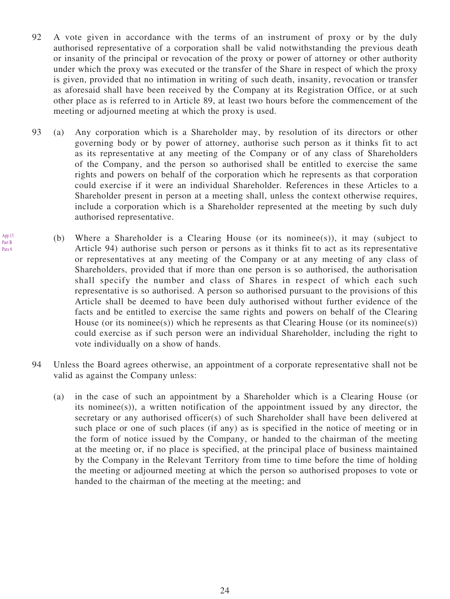- 92 A vote given in accordance with the terms of an instrument of proxy or by the duly authorised representative of a corporation shall be valid notwithstanding the previous death or insanity of the principal or revocation of the proxy or power of attorney or other authority under which the proxy was executed or the transfer of the Share in respect of which the proxy is given, provided that no intimation in writing of such death, insanity, revocation or transfer as aforesaid shall have been received by the Company at its Registration Office, or at such other place as is referred to in Article 89, at least two hours before the commencement of the meeting or adjourned meeting at which the proxy is used.
- 93 (a) Any corporation which is a Shareholder may, by resolution of its directors or other governing body or by power of attorney, authorise such person as it thinks fit to act as its representative at any meeting of the Company or of any class of Shareholders of the Company, and the person so authorised shall be entitled to exercise the same rights and powers on behalf of the corporation which he represents as that corporation could exercise if it were an individual Shareholder. References in these Articles to a Shareholder present in person at a meeting shall, unless the context otherwise requires, include a corporation which is a Shareholder represented at the meeting by such duly authorised representative.

App.13 Part B Para 6

- (b) Where a Shareholder is a Clearing House (or its nominee(s)), it may (subject to Article 94) authorise such person or persons as it thinks fit to act as its representative or representatives at any meeting of the Company or at any meeting of any class of Shareholders, provided that if more than one person is so authorised, the authorisation shall specify the number and class of Shares in respect of which each such representative is so authorised. A person so authorised pursuant to the provisions of this Article shall be deemed to have been duly authorised without further evidence of the facts and be entitled to exercise the same rights and powers on behalf of the Clearing House (or its nominee(s)) which he represents as that Clearing House (or its nominee(s)) could exercise as if such person were an individual Shareholder, including the right to vote individually on a show of hands.
- 94 Unless the Board agrees otherwise, an appointment of a corporate representative shall not be valid as against the Company unless:
	- (a) in the case of such an appointment by a Shareholder which is a Clearing House (or its nominee(s)), a written notification of the appointment issued by any director, the secretary or any authorised officer(s) of such Shareholder shall have been delivered at such place or one of such places (if any) as is specified in the notice of meeting or in the form of notice issued by the Company, or handed to the chairman of the meeting at the meeting or, if no place is specified, at the principal place of business maintained by the Company in the Relevant Territory from time to time before the time of holding the meeting or adjourned meeting at which the person so authorised proposes to vote or handed to the chairman of the meeting at the meeting; and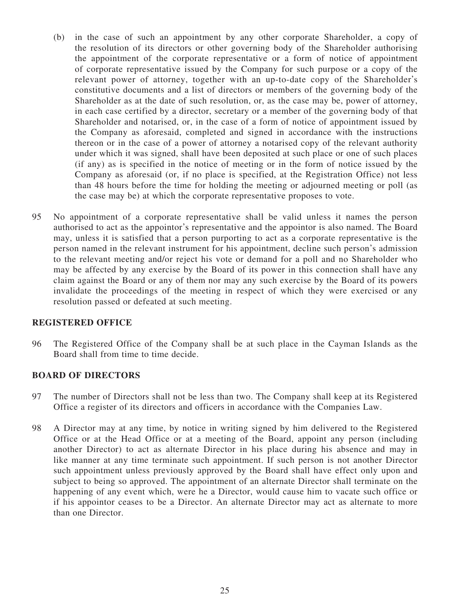- (b) in the case of such an appointment by any other corporate Shareholder, a copy of the resolution of its directors or other governing body of the Shareholder authorising the appointment of the corporate representative or a form of notice of appointment of corporate representative issued by the Company for such purpose or a copy of the relevant power of attorney, together with an up-to-date copy of the Shareholder's constitutive documents and a list of directors or members of the governing body of the Shareholder as at the date of such resolution, or, as the case may be, power of attorney, in each case certified by a director, secretary or a member of the governing body of that Shareholder and notarised, or, in the case of a form of notice of appointment issued by the Company as aforesaid, completed and signed in accordance with the instructions thereon or in the case of a power of attorney a notarised copy of the relevant authority under which it was signed, shall have been deposited at such place or one of such places (if any) as is specified in the notice of meeting or in the form of notice issued by the Company as aforesaid (or, if no place is specified, at the Registration Office) not less than 48 hours before the time for holding the meeting or adjourned meeting or poll (as the case may be) at which the corporate representative proposes to vote.
- 95 No appointment of a corporate representative shall be valid unless it names the person authorised to act as the appointor's representative and the appointor is also named. The Board may, unless it is satisfied that a person purporting to act as a corporate representative is the person named in the relevant instrument for his appointment, decline such person's admission to the relevant meeting and/or reject his vote or demand for a poll and no Shareholder who may be affected by any exercise by the Board of its power in this connection shall have any claim against the Board or any of them nor may any such exercise by the Board of its powers invalidate the proceedings of the meeting in respect of which they were exercised or any resolution passed or defeated at such meeting.

#### **REGISTERED OFFICE**

96 The Registered Office of the Company shall be at such place in the Cayman Islands as the Board shall from time to time decide.

#### **BOARD OF DIRECTORS**

- 97 The number of Directors shall not be less than two. The Company shall keep at its Registered Office a register of its directors and officers in accordance with the Companies Law.
- 98 A Director may at any time, by notice in writing signed by him delivered to the Registered Office or at the Head Office or at a meeting of the Board, appoint any person (including another Director) to act as alternate Director in his place during his absence and may in like manner at any time terminate such appointment. If such person is not another Director such appointment unless previously approved by the Board shall have effect only upon and subject to being so approved. The appointment of an alternate Director shall terminate on the happening of any event which, were he a Director, would cause him to vacate such office or if his appointor ceases to be a Director. An alternate Director may act as alternate to more than one Director.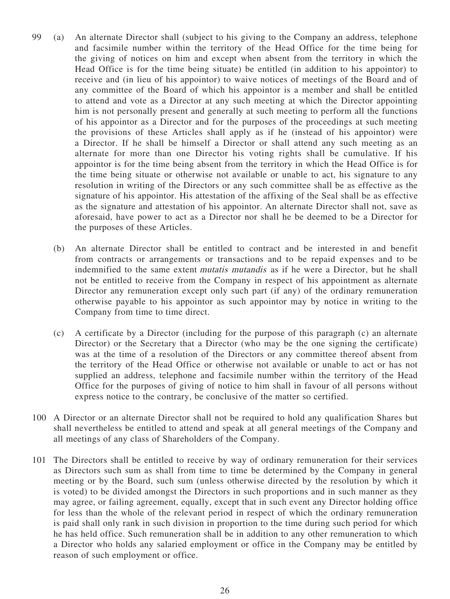- 99 (a) An alternate Director shall (subject to his giving to the Company an address, telephone and facsimile number within the territory of the Head Office for the time being for the giving of notices on him and except when absent from the territory in which the Head Office is for the time being situate) be entitled (in addition to his appointor) to receive and (in lieu of his appointor) to waive notices of meetings of the Board and of any committee of the Board of which his appointor is a member and shall be entitled to attend and vote as a Director at any such meeting at which the Director appointing him is not personally present and generally at such meeting to perform all the functions of his appointor as a Director and for the purposes of the proceedings at such meeting the provisions of these Articles shall apply as if he (instead of his appointor) were a Director. If he shall be himself a Director or shall attend any such meeting as an alternate for more than one Director his voting rights shall be cumulative. If his appointor is for the time being absent from the territory in which the Head Office is for the time being situate or otherwise not available or unable to act, his signature to any resolution in writing of the Directors or any such committee shall be as effective as the signature of his appointor. His attestation of the affixing of the Seal shall be as effective as the signature and attestation of his appointor. An alternate Director shall not, save as aforesaid, have power to act as a Director nor shall he be deemed to be a Director for the purposes of these Articles.
	- (b) An alternate Director shall be entitled to contract and be interested in and benefit from contracts or arrangements or transactions and to be repaid expenses and to be indemnified to the same extent mutatis mutandis as if he were a Director, but he shall not be entitled to receive from the Company in respect of his appointment as alternate Director any remuneration except only such part (if any) of the ordinary remuneration otherwise payable to his appointor as such appointor may by notice in writing to the Company from time to time direct.
	- (c) A certificate by a Director (including for the purpose of this paragraph (c) an alternate Director) or the Secretary that a Director (who may be the one signing the certificate) was at the time of a resolution of the Directors or any committee thereof absent from the territory of the Head Office or otherwise not available or unable to act or has not supplied an address, telephone and facsimile number within the territory of the Head Office for the purposes of giving of notice to him shall in favour of all persons without express notice to the contrary, be conclusive of the matter so certified.
- 100 A Director or an alternate Director shall not be required to hold any qualification Shares but shall nevertheless be entitled to attend and speak at all general meetings of the Company and all meetings of any class of Shareholders of the Company.
- 101 The Directors shall be entitled to receive by way of ordinary remuneration for their services as Directors such sum as shall from time to time be determined by the Company in general meeting or by the Board, such sum (unless otherwise directed by the resolution by which it is voted) to be divided amongst the Directors in such proportions and in such manner as they may agree, or failing agreement, equally, except that in such event any Director holding office for less than the whole of the relevant period in respect of which the ordinary remuneration is paid shall only rank in such division in proportion to the time during such period for which he has held office. Such remuneration shall be in addition to any other remuneration to which a Director who holds any salaried employment or office in the Company may be entitled by reason of such employment or office.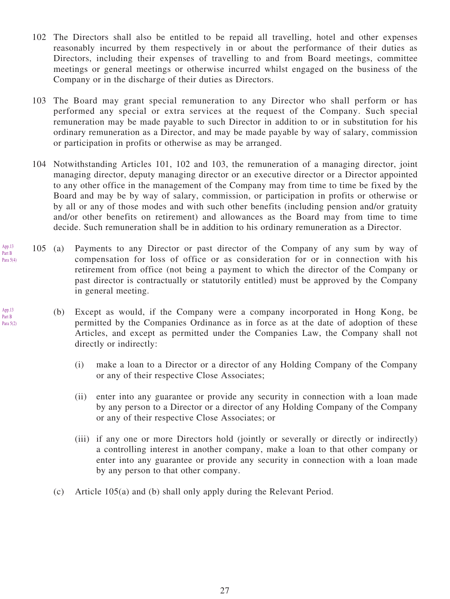- 102 The Directors shall also be entitled to be repaid all travelling, hotel and other expenses reasonably incurred by them respectively in or about the performance of their duties as Directors, including their expenses of travelling to and from Board meetings, committee meetings or general meetings or otherwise incurred whilst engaged on the business of the Company or in the discharge of their duties as Directors.
- 103 The Board may grant special remuneration to any Director who shall perform or has performed any special or extra services at the request of the Company. Such special remuneration may be made payable to such Director in addition to or in substitution for his ordinary remuneration as a Director, and may be made payable by way of salary, commission or participation in profits or otherwise as may be arranged.
- 104 Notwithstanding Articles 101, 102 and 103, the remuneration of a managing director, joint managing director, deputy managing director or an executive director or a Director appointed to any other office in the management of the Company may from time to time be fixed by the Board and may be by way of salary, commission, or participation in profits or otherwise or by all or any of those modes and with such other benefits (including pension and/or gratuity and/or other benefits on retirement) and allowances as the Board may from time to time decide. Such remuneration shall be in addition to his ordinary remuneration as a Director.
- 105 (a) Payments to any Director or past director of the Company of any sum by way of compensation for loss of office or as consideration for or in connection with his retirement from office (not being a payment to which the director of the Company or past director is contractually or statutorily entitled) must be approved by the Company in general meeting.
	- (b) Except as would, if the Company were a company incorporated in Hong Kong, be permitted by the Companies Ordinance as in force as at the date of adoption of these Articles, and except as permitted under the Companies Law, the Company shall not directly or indirectly:
		- (i) make a loan to a Director or a director of any Holding Company of the Company or any of their respective Close Associates;
		- (ii) enter into any guarantee or provide any security in connection with a loan made by any person to a Director or a director of any Holding Company of the Company or any of their respective Close Associates; or
		- (iii) if any one or more Directors hold (jointly or severally or directly or indirectly) a controlling interest in another company, make a loan to that other company or enter into any guarantee or provide any security in connection with a loan made by any person to that other company.
		- (c) Article 105(a) and (b) shall only apply during the Relevant Period.

App.13 Part B Para 5(2)

App.13 Part B Para 5(4)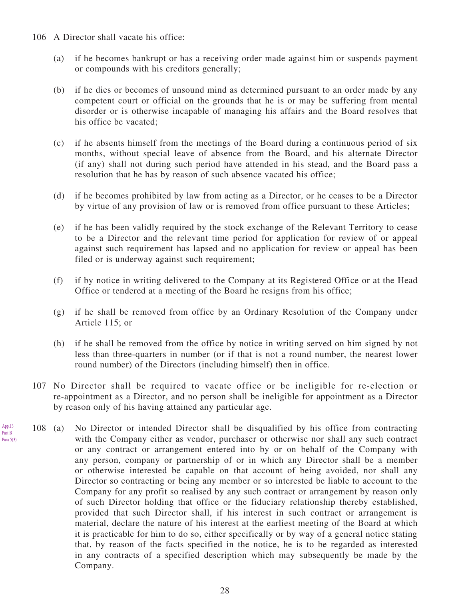106 A Director shall vacate his office:

App.13 Part B Para 5(3)

- (a) if he becomes bankrupt or has a receiving order made against him or suspends payment or compounds with his creditors generally;
- (b) if he dies or becomes of unsound mind as determined pursuant to an order made by any competent court or official on the grounds that he is or may be suffering from mental disorder or is otherwise incapable of managing his affairs and the Board resolves that his office be vacated;
- (c) if he absents himself from the meetings of the Board during a continuous period of six months, without special leave of absence from the Board, and his alternate Director (if any) shall not during such period have attended in his stead, and the Board pass a resolution that he has by reason of such absence vacated his office;
- (d) if he becomes prohibited by law from acting as a Director, or he ceases to be a Director by virtue of any provision of law or is removed from office pursuant to these Articles;
- (e) if he has been validly required by the stock exchange of the Relevant Territory to cease to be a Director and the relevant time period for application for review of or appeal against such requirement has lapsed and no application for review or appeal has been filed or is underway against such requirement;
- (f) if by notice in writing delivered to the Company at its Registered Office or at the Head Office or tendered at a meeting of the Board he resigns from his office;
- (g) if he shall be removed from office by an Ordinary Resolution of the Company under Article 115; or
- (h) if he shall be removed from the office by notice in writing served on him signed by not less than three-quarters in number (or if that is not a round number, the nearest lower round number) of the Directors (including himself) then in office.
- 107 No Director shall be required to vacate office or be ineligible for re-election or re-appointment as a Director, and no person shall be ineligible for appointment as a Director by reason only of his having attained any particular age.
- 108 (a) No Director or intended Director shall be disqualified by his office from contracting with the Company either as vendor, purchaser or otherwise nor shall any such contract or any contract or arrangement entered into by or on behalf of the Company with any person, company or partnership of or in which any Director shall be a member or otherwise interested be capable on that account of being avoided, nor shall any Director so contracting or being any member or so interested be liable to account to the Company for any profit so realised by any such contract or arrangement by reason only of such Director holding that office or the fiduciary relationship thereby established, provided that such Director shall, if his interest in such contract or arrangement is material, declare the nature of his interest at the earliest meeting of the Board at which it is practicable for him to do so, either specifically or by way of a general notice stating that, by reason of the facts specified in the notice, he is to be regarded as interested in any contracts of a specified description which may subsequently be made by the Company.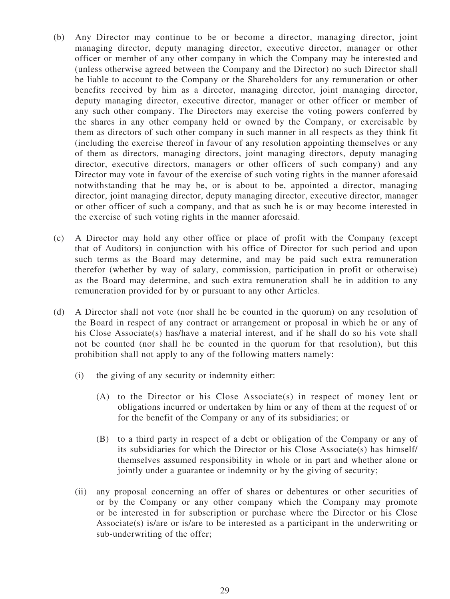- (b) Any Director may continue to be or become a director, managing director, joint managing director, deputy managing director, executive director, manager or other officer or member of any other company in which the Company may be interested and (unless otherwise agreed between the Company and the Director) no such Director shall be liable to account to the Company or the Shareholders for any remuneration or other benefits received by him as a director, managing director, joint managing director, deputy managing director, executive director, manager or other officer or member of any such other company. The Directors may exercise the voting powers conferred by the shares in any other company held or owned by the Company, or exercisable by them as directors of such other company in such manner in all respects as they think fit (including the exercise thereof in favour of any resolution appointing themselves or any of them as directors, managing directors, joint managing directors, deputy managing director, executive directors, managers or other officers of such company) and any Director may vote in favour of the exercise of such voting rights in the manner aforesaid notwithstanding that he may be, or is about to be, appointed a director, managing director, joint managing director, deputy managing director, executive director, manager or other officer of such a company, and that as such he is or may become interested in the exercise of such voting rights in the manner aforesaid.
- (c) A Director may hold any other office or place of profit with the Company (except that of Auditors) in conjunction with his office of Director for such period and upon such terms as the Board may determine, and may be paid such extra remuneration therefor (whether by way of salary, commission, participation in profit or otherwise) as the Board may determine, and such extra remuneration shall be in addition to any remuneration provided for by or pursuant to any other Articles.
- (d) A Director shall not vote (nor shall he be counted in the quorum) on any resolution of the Board in respect of any contract or arrangement or proposal in which he or any of his Close Associate(s) has/have a material interest, and if he shall do so his vote shall not be counted (nor shall he be counted in the quorum for that resolution), but this prohibition shall not apply to any of the following matters namely:
	- (i) the giving of any security or indemnity either:
		- (A) to the Director or his Close Associate(s) in respect of money lent or obligations incurred or undertaken by him or any of them at the request of or for the benefit of the Company or any of its subsidiaries; or
		- (B) to a third party in respect of a debt or obligation of the Company or any of its subsidiaries for which the Director or his Close Associate(s) has himself/ themselves assumed responsibility in whole or in part and whether alone or jointly under a guarantee or indemnity or by the giving of security;
	- (ii) any proposal concerning an offer of shares or debentures or other securities of or by the Company or any other company which the Company may promote or be interested in for subscription or purchase where the Director or his Close Associate(s) is/are or is/are to be interested as a participant in the underwriting or sub-underwriting of the offer;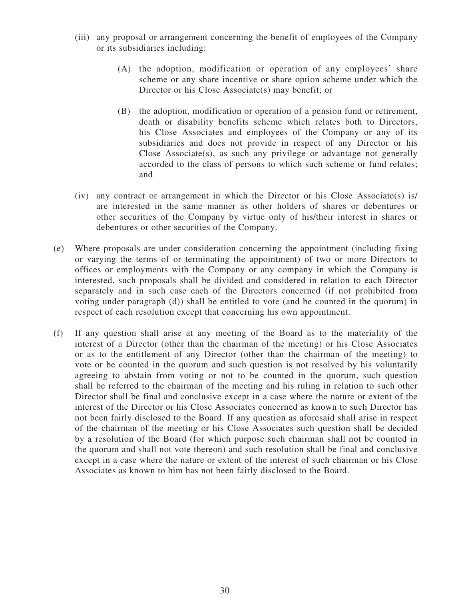- (iii) any proposal or arrangement concerning the benefit of employees of the Company or its subsidiaries including:
	- (A) the adoption, modification or operation of any employees' share scheme or any share incentive or share option scheme under which the Director or his Close Associate(s) may benefit; or
	- (B) the adoption, modification or operation of a pension fund or retirement, death or disability benefits scheme which relates both to Directors, his Close Associates and employees of the Company or any of its subsidiaries and does not provide in respect of any Director or his Close Associate(s), as such any privilege or advantage not generally accorded to the class of persons to which such scheme or fund relates; and
- (iv) any contract or arrangement in which the Director or his Close Associate(s) is/ are interested in the same manner as other holders of shares or debentures or other securities of the Company by virtue only of his/their interest in shares or debentures or other securities of the Company.
- (e) Where proposals are under consideration concerning the appointment (including fixing or varying the terms of or terminating the appointment) of two or more Directors to offices or employments with the Company or any company in which the Company is interested, such proposals shall be divided and considered in relation to each Director separately and in such case each of the Directors concerned (if not prohibited from voting under paragraph (d)) shall be entitled to vote (and be counted in the quorum) in respect of each resolution except that concerning his own appointment.
- (f) If any question shall arise at any meeting of the Board as to the materiality of the interest of a Director (other than the chairman of the meeting) or his Close Associates or as to the entitlement of any Director (other than the chairman of the meeting) to vote or be counted in the quorum and such question is not resolved by his voluntarily agreeing to abstain from voting or not to be counted in the quorum, such question shall be referred to the chairman of the meeting and his ruling in relation to such other Director shall be final and conclusive except in a case where the nature or extent of the interest of the Director or his Close Associates concerned as known to such Director has not been fairly disclosed to the Board. If any question as aforesaid shall arise in respect of the chairman of the meeting or his Close Associates such question shall be decided by a resolution of the Board (for which purpose such chairman shall not be counted in the quorum and shall not vote thereon) and such resolution shall be final and conclusive except in a case where the nature or extent of the interest of such chairman or his Close Associates as known to him has not been fairly disclosed to the Board.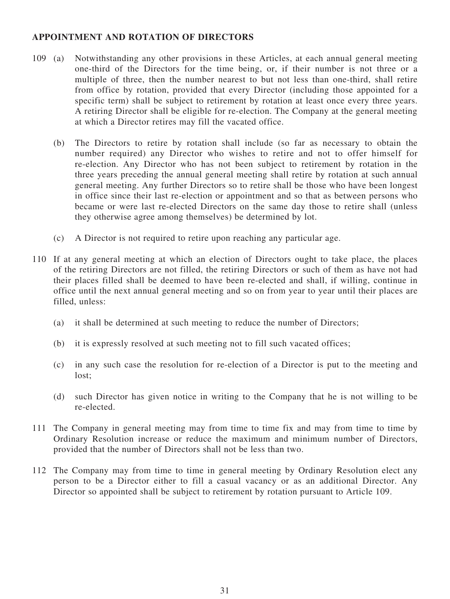## **APPOINTMENT AND ROTATION OF DIRECTORS**

- 109 (a) Notwithstanding any other provisions in these Articles, at each annual general meeting one-third of the Directors for the time being, or, if their number is not three or a multiple of three, then the number nearest to but not less than one-third, shall retire from office by rotation, provided that every Director (including those appointed for a specific term) shall be subject to retirement by rotation at least once every three years. A retiring Director shall be eligible for re-election. The Company at the general meeting at which a Director retires may fill the vacated office.
	- (b) The Directors to retire by rotation shall include (so far as necessary to obtain the number required) any Director who wishes to retire and not to offer himself for re-election. Any Director who has not been subject to retirement by rotation in the three years preceding the annual general meeting shall retire by rotation at such annual general meeting. Any further Directors so to retire shall be those who have been longest in office since their last re-election or appointment and so that as between persons who became or were last re-elected Directors on the same day those to retire shall (unless they otherwise agree among themselves) be determined by lot.
	- (c) A Director is not required to retire upon reaching any particular age.
- 110 If at any general meeting at which an election of Directors ought to take place, the places of the retiring Directors are not filled, the retiring Directors or such of them as have not had their places filled shall be deemed to have been re-elected and shall, if willing, continue in office until the next annual general meeting and so on from year to year until their places are filled, unless:
	- (a) it shall be determined at such meeting to reduce the number of Directors;
	- (b) it is expressly resolved at such meeting not to fill such vacated offices;
	- (c) in any such case the resolution for re-election of a Director is put to the meeting and lost;
	- (d) such Director has given notice in writing to the Company that he is not willing to be re-elected.
- 111 The Company in general meeting may from time to time fix and may from time to time by Ordinary Resolution increase or reduce the maximum and minimum number of Directors, provided that the number of Directors shall not be less than two.
- 112 The Company may from time to time in general meeting by Ordinary Resolution elect any person to be a Director either to fill a casual vacancy or as an additional Director. Any Director so appointed shall be subject to retirement by rotation pursuant to Article 109.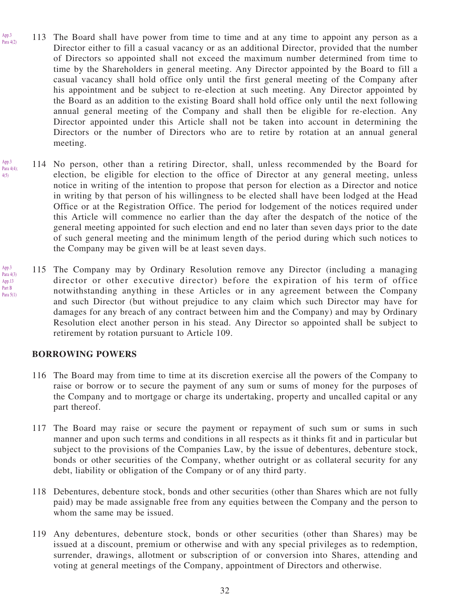- 113 The Board shall have power from time to time and at any time to appoint any person as a Director either to fill a casual vacancy or as an additional Director, provided that the number of Directors so appointed shall not exceed the maximum number determined from time to time by the Shareholders in general meeting. Any Director appointed by the Board to fill a casual vacancy shall hold office only until the first general meeting of the Company after his appointment and be subject to re-election at such meeting. Any Director appointed by the Board as an addition to the existing Board shall hold office only until the next following annual general meeting of the Company and shall then be eligible for re-election. Any Director appointed under this Article shall not be taken into account in determining the Directors or the number of Directors who are to retire by rotation at an annual general meeting. App.3 Para  $4(2)$
- 114 No person, other than a retiring Director, shall, unless recommended by the Board for election, be eligible for election to the office of Director at any general meeting, unless notice in writing of the intention to propose that person for election as a Director and notice in writing by that person of his willingness to be elected shall have been lodged at the Head Office or at the Registration Office. The period for lodgement of the notices required under this Article will commence no earlier than the day after the despatch of the notice of the general meeting appointed for such election and end no later than seven days prior to the date of such general meeting and the minimum length of the period during which such notices to the Company may be given will be at least seven days. App.3 Para  $4(4)$ ; 4(5)
- 115 The Company may by Ordinary Resolution remove any Director (including a managing director or other executive director) before the expiration of his term of office notwithstanding anything in these Articles or in any agreement between the Company and such Director (but without prejudice to any claim which such Director may have for damages for any breach of any contract between him and the Company) and may by Ordinary Resolution elect another person in his stead. Any Director so appointed shall be subject to retirement by rotation pursuant to Article 109. App.3 Para 4(3) App.13 Part B Para 5(1)

#### **BORROWING POWERS**

- 116 The Board may from time to time at its discretion exercise all the powers of the Company to raise or borrow or to secure the payment of any sum or sums of money for the purposes of the Company and to mortgage or charge its undertaking, property and uncalled capital or any part thereof.
- 117 The Board may raise or secure the payment or repayment of such sum or sums in such manner and upon such terms and conditions in all respects as it thinks fit and in particular but subject to the provisions of the Companies Law, by the issue of debentures, debenture stock, bonds or other securities of the Company, whether outright or as collateral security for any debt, liability or obligation of the Company or of any third party.
- 118 Debentures, debenture stock, bonds and other securities (other than Shares which are not fully paid) may be made assignable free from any equities between the Company and the person to whom the same may be issued.
- 119 Any debentures, debenture stock, bonds or other securities (other than Shares) may be issued at a discount, premium or otherwise and with any special privileges as to redemption, surrender, drawings, allotment or subscription of or conversion into Shares, attending and voting at general meetings of the Company, appointment of Directors and otherwise.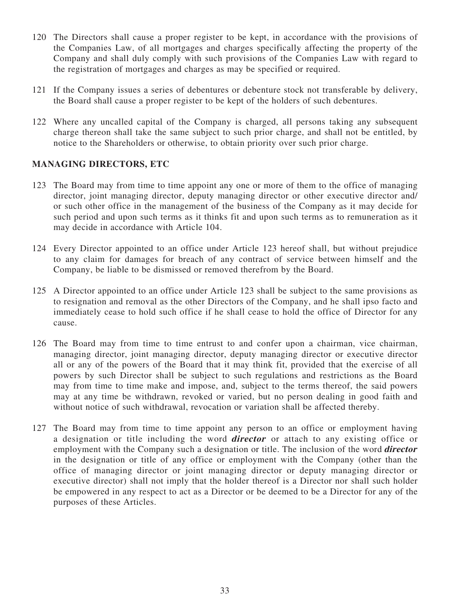- 120 The Directors shall cause a proper register to be kept, in accordance with the provisions of the Companies Law, of all mortgages and charges specifically affecting the property of the Company and shall duly comply with such provisions of the Companies Law with regard to the registration of mortgages and charges as may be specified or required.
- 121 If the Company issues a series of debentures or debenture stock not transferable by delivery, the Board shall cause a proper register to be kept of the holders of such debentures.
- 122 Where any uncalled capital of the Company is charged, all persons taking any subsequent charge thereon shall take the same subject to such prior charge, and shall not be entitled, by notice to the Shareholders or otherwise, to obtain priority over such prior charge.

# **MANAGING DIRECTORS, ETC**

- 123 The Board may from time to time appoint any one or more of them to the office of managing director, joint managing director, deputy managing director or other executive director and/ or such other office in the management of the business of the Company as it may decide for such period and upon such terms as it thinks fit and upon such terms as to remuneration as it may decide in accordance with Article 104.
- 124 Every Director appointed to an office under Article 123 hereof shall, but without prejudice to any claim for damages for breach of any contract of service between himself and the Company, be liable to be dismissed or removed therefrom by the Board.
- 125 A Director appointed to an office under Article 123 shall be subject to the same provisions as to resignation and removal as the other Directors of the Company, and he shall ipso facto and immediately cease to hold such office if he shall cease to hold the office of Director for any cause.
- 126 The Board may from time to time entrust to and confer upon a chairman, vice chairman, managing director, joint managing director, deputy managing director or executive director all or any of the powers of the Board that it may think fit, provided that the exercise of all powers by such Director shall be subject to such regulations and restrictions as the Board may from time to time make and impose, and, subject to the terms thereof, the said powers may at any time be withdrawn, revoked or varied, but no person dealing in good faith and without notice of such withdrawal, revocation or variation shall be affected thereby.
- 127 The Board may from time to time appoint any person to an office or employment having a designation or title including the word **director** or attach to any existing office or employment with the Company such a designation or title. The inclusion of the word **director** in the designation or title of any office or employment with the Company (other than the office of managing director or joint managing director or deputy managing director or executive director) shall not imply that the holder thereof is a Director nor shall such holder be empowered in any respect to act as a Director or be deemed to be a Director for any of the purposes of these Articles.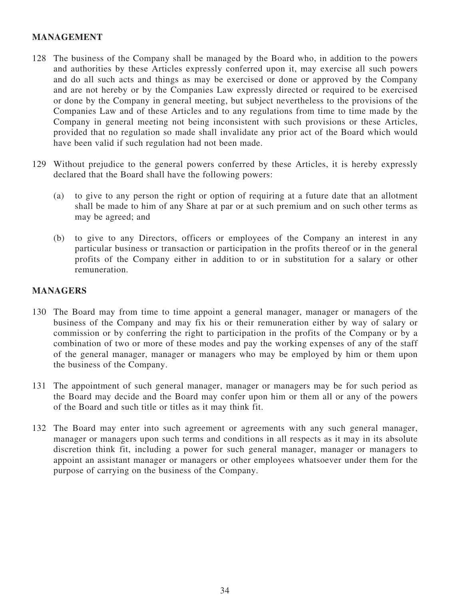# **MANAGEMENT**

- 128 The business of the Company shall be managed by the Board who, in addition to the powers and authorities by these Articles expressly conferred upon it, may exercise all such powers and do all such acts and things as may be exercised or done or approved by the Company and are not hereby or by the Companies Law expressly directed or required to be exercised or done by the Company in general meeting, but subject nevertheless to the provisions of the Companies Law and of these Articles and to any regulations from time to time made by the Company in general meeting not being inconsistent with such provisions or these Articles, provided that no regulation so made shall invalidate any prior act of the Board which would have been valid if such regulation had not been made.
- 129 Without prejudice to the general powers conferred by these Articles, it is hereby expressly declared that the Board shall have the following powers:
	- (a) to give to any person the right or option of requiring at a future date that an allotment shall be made to him of any Share at par or at such premium and on such other terms as may be agreed; and
	- (b) to give to any Directors, officers or employees of the Company an interest in any particular business or transaction or participation in the profits thereof or in the general profits of the Company either in addition to or in substitution for a salary or other remuneration.

#### **MANAGERS**

- 130 The Board may from time to time appoint a general manager, manager or managers of the business of the Company and may fix his or their remuneration either by way of salary or commission or by conferring the right to participation in the profits of the Company or by a combination of two or more of these modes and pay the working expenses of any of the staff of the general manager, manager or managers who may be employed by him or them upon the business of the Company.
- 131 The appointment of such general manager, manager or managers may be for such period as the Board may decide and the Board may confer upon him or them all or any of the powers of the Board and such title or titles as it may think fit.
- 132 The Board may enter into such agreement or agreements with any such general manager, manager or managers upon such terms and conditions in all respects as it may in its absolute discretion think fit, including a power for such general manager, manager or managers to appoint an assistant manager or managers or other employees whatsoever under them for the purpose of carrying on the business of the Company.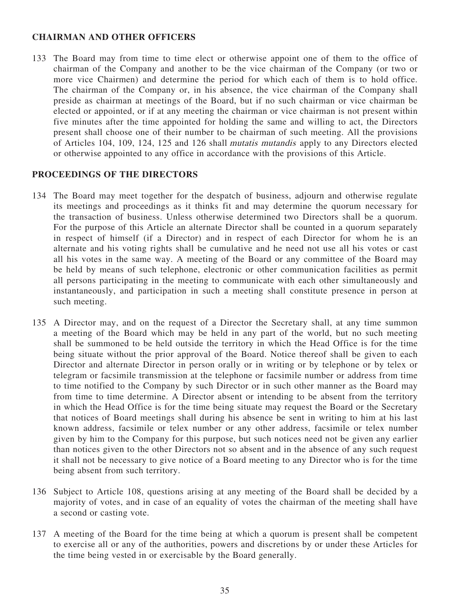#### **CHAIRMAN AND OTHER OFFICERS**

133 The Board may from time to time elect or otherwise appoint one of them to the office of chairman of the Company and another to be the vice chairman of the Company (or two or more vice Chairmen) and determine the period for which each of them is to hold office. The chairman of the Company or, in his absence, the vice chairman of the Company shall preside as chairman at meetings of the Board, but if no such chairman or vice chairman be elected or appointed, or if at any meeting the chairman or vice chairman is not present within five minutes after the time appointed for holding the same and willing to act, the Directors present shall choose one of their number to be chairman of such meeting. All the provisions of Articles 104, 109, 124, 125 and 126 shall mutatis mutandis apply to any Directors elected or otherwise appointed to any office in accordance with the provisions of this Article.

#### **PROCEEDINGS OF THE DIRECTORS**

- 134 The Board may meet together for the despatch of business, adjourn and otherwise regulate its meetings and proceedings as it thinks fit and may determine the quorum necessary for the transaction of business. Unless otherwise determined two Directors shall be a quorum. For the purpose of this Article an alternate Director shall be counted in a quorum separately in respect of himself (if a Director) and in respect of each Director for whom he is an alternate and his voting rights shall be cumulative and he need not use all his votes or cast all his votes in the same way. A meeting of the Board or any committee of the Board may be held by means of such telephone, electronic or other communication facilities as permit all persons participating in the meeting to communicate with each other simultaneously and instantaneously, and participation in such a meeting shall constitute presence in person at such meeting.
- 135 A Director may, and on the request of a Director the Secretary shall, at any time summon a meeting of the Board which may be held in any part of the world, but no such meeting shall be summoned to be held outside the territory in which the Head Office is for the time being situate without the prior approval of the Board. Notice thereof shall be given to each Director and alternate Director in person orally or in writing or by telephone or by telex or telegram or facsimile transmission at the telephone or facsimile number or address from time to time notified to the Company by such Director or in such other manner as the Board may from time to time determine. A Director absent or intending to be absent from the territory in which the Head Office is for the time being situate may request the Board or the Secretary that notices of Board meetings shall during his absence be sent in writing to him at his last known address, facsimile or telex number or any other address, facsimile or telex number given by him to the Company for this purpose, but such notices need not be given any earlier than notices given to the other Directors not so absent and in the absence of any such request it shall not be necessary to give notice of a Board meeting to any Director who is for the time being absent from such territory.
- 136 Subject to Article 108, questions arising at any meeting of the Board shall be decided by a majority of votes, and in case of an equality of votes the chairman of the meeting shall have a second or casting vote.
- 137 A meeting of the Board for the time being at which a quorum is present shall be competent to exercise all or any of the authorities, powers and discretions by or under these Articles for the time being vested in or exercisable by the Board generally.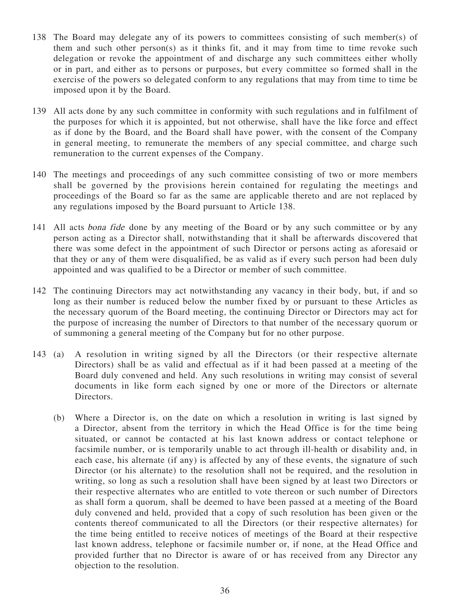- 138 The Board may delegate any of its powers to committees consisting of such member(s) of them and such other person(s) as it thinks fit, and it may from time to time revoke such delegation or revoke the appointment of and discharge any such committees either wholly or in part, and either as to persons or purposes, but every committee so formed shall in the exercise of the powers so delegated conform to any regulations that may from time to time be imposed upon it by the Board.
- 139 All acts done by any such committee in conformity with such regulations and in fulfilment of the purposes for which it is appointed, but not otherwise, shall have the like force and effect as if done by the Board, and the Board shall have power, with the consent of the Company in general meeting, to remunerate the members of any special committee, and charge such remuneration to the current expenses of the Company.
- 140 The meetings and proceedings of any such committee consisting of two or more members shall be governed by the provisions herein contained for regulating the meetings and proceedings of the Board so far as the same are applicable thereto and are not replaced by any regulations imposed by the Board pursuant to Article 138.
- 141 All acts bona fide done by any meeting of the Board or by any such committee or by any person acting as a Director shall, notwithstanding that it shall be afterwards discovered that there was some defect in the appointment of such Director or persons acting as aforesaid or that they or any of them were disqualified, be as valid as if every such person had been duly appointed and was qualified to be a Director or member of such committee.
- 142 The continuing Directors may act notwithstanding any vacancy in their body, but, if and so long as their number is reduced below the number fixed by or pursuant to these Articles as the necessary quorum of the Board meeting, the continuing Director or Directors may act for the purpose of increasing the number of Directors to that number of the necessary quorum or of summoning a general meeting of the Company but for no other purpose.
- 143 (a) A resolution in writing signed by all the Directors (or their respective alternate Directors) shall be as valid and effectual as if it had been passed at a meeting of the Board duly convened and held. Any such resolutions in writing may consist of several documents in like form each signed by one or more of the Directors or alternate Directors.
	- (b) Where a Director is, on the date on which a resolution in writing is last signed by a Director, absent from the territory in which the Head Office is for the time being situated, or cannot be contacted at his last known address or contact telephone or facsimile number, or is temporarily unable to act through ill-health or disability and, in each case, his alternate (if any) is affected by any of these events, the signature of such Director (or his alternate) to the resolution shall not be required, and the resolution in writing, so long as such a resolution shall have been signed by at least two Directors or their respective alternates who are entitled to vote thereon or such number of Directors as shall form a quorum, shall be deemed to have been passed at a meeting of the Board duly convened and held, provided that a copy of such resolution has been given or the contents thereof communicated to all the Directors (or their respective alternates) for the time being entitled to receive notices of meetings of the Board at their respective last known address, telephone or facsimile number or, if none, at the Head Office and provided further that no Director is aware of or has received from any Director any objection to the resolution.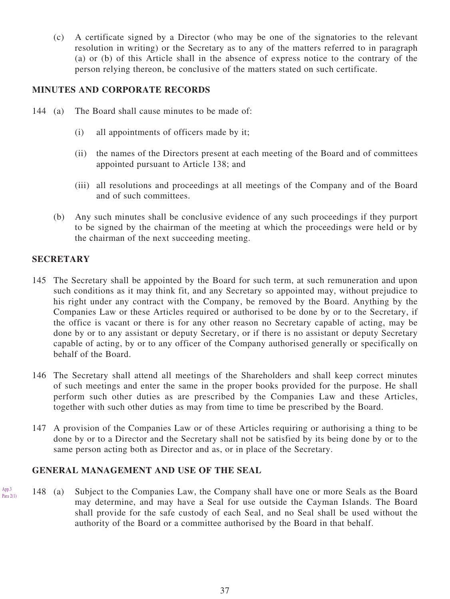(c) A certificate signed by a Director (who may be one of the signatories to the relevant resolution in writing) or the Secretary as to any of the matters referred to in paragraph (a) or (b) of this Article shall in the absence of express notice to the contrary of the person relying thereon, be conclusive of the matters stated on such certificate.

## **MINUTES AND CORPORATE RECORDS**

- 144 (a) The Board shall cause minutes to be made of:
	- (i) all appointments of officers made by it;
	- (ii) the names of the Directors present at each meeting of the Board and of committees appointed pursuant to Article 138; and
	- (iii) all resolutions and proceedings at all meetings of the Company and of the Board and of such committees.
	- (b) Any such minutes shall be conclusive evidence of any such proceedings if they purport to be signed by the chairman of the meeting at which the proceedings were held or by the chairman of the next succeeding meeting.

## **SECRETARY**

App.3

- 145 The Secretary shall be appointed by the Board for such term, at such remuneration and upon such conditions as it may think fit, and any Secretary so appointed may, without prejudice to his right under any contract with the Company, be removed by the Board. Anything by the Companies Law or these Articles required or authorised to be done by or to the Secretary, if the office is vacant or there is for any other reason no Secretary capable of acting, may be done by or to any assistant or deputy Secretary, or if there is no assistant or deputy Secretary capable of acting, by or to any officer of the Company authorised generally or specifically on behalf of the Board.
- 146 The Secretary shall attend all meetings of the Shareholders and shall keep correct minutes of such meetings and enter the same in the proper books provided for the purpose. He shall perform such other duties as are prescribed by the Companies Law and these Articles, together with such other duties as may from time to time be prescribed by the Board.
- 147 A provision of the Companies Law or of these Articles requiring or authorising a thing to be done by or to a Director and the Secretary shall not be satisfied by its being done by or to the same person acting both as Director and as, or in place of the Secretary.

# **GENERAL MANAGEMENT AND USE OF THE SEAL**

148 (a) Subject to the Companies Law, the Company shall have one or more Seals as the Board may determine, and may have a Seal for use outside the Cayman Islands. The Board shall provide for the safe custody of each Seal, and no Seal shall be used without the authority of the Board or a committee authorised by the Board in that behalf.  $P<sub>ara</sub>$  2(1)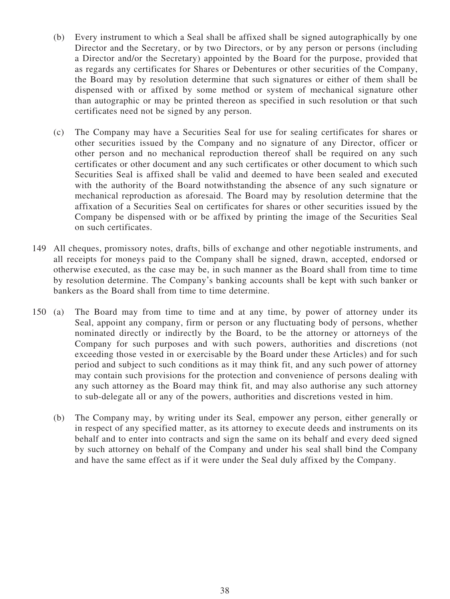- (b) Every instrument to which a Seal shall be affixed shall be signed autographically by one Director and the Secretary, or by two Directors, or by any person or persons (including a Director and/or the Secretary) appointed by the Board for the purpose, provided that as regards any certificates for Shares or Debentures or other securities of the Company, the Board may by resolution determine that such signatures or either of them shall be dispensed with or affixed by some method or system of mechanical signature other than autographic or may be printed thereon as specified in such resolution or that such certificates need not be signed by any person.
- (c) The Company may have a Securities Seal for use for sealing certificates for shares or other securities issued by the Company and no signature of any Director, officer or other person and no mechanical reproduction thereof shall be required on any such certificates or other document and any such certificates or other document to which such Securities Seal is affixed shall be valid and deemed to have been sealed and executed with the authority of the Board notwithstanding the absence of any such signature or mechanical reproduction as aforesaid. The Board may by resolution determine that the affixation of a Securities Seal on certificates for shares or other securities issued by the Company be dispensed with or be affixed by printing the image of the Securities Seal on such certificates.
- 149 All cheques, promissory notes, drafts, bills of exchange and other negotiable instruments, and all receipts for moneys paid to the Company shall be signed, drawn, accepted, endorsed or otherwise executed, as the case may be, in such manner as the Board shall from time to time by resolution determine. The Company's banking accounts shall be kept with such banker or bankers as the Board shall from time to time determine.
- 150 (a) The Board may from time to time and at any time, by power of attorney under its Seal, appoint any company, firm or person or any fluctuating body of persons, whether nominated directly or indirectly by the Board, to be the attorney or attorneys of the Company for such purposes and with such powers, authorities and discretions (not exceeding those vested in or exercisable by the Board under these Articles) and for such period and subject to such conditions as it may think fit, and any such power of attorney may contain such provisions for the protection and convenience of persons dealing with any such attorney as the Board may think fit, and may also authorise any such attorney to sub-delegate all or any of the powers, authorities and discretions vested in him.
	- (b) The Company may, by writing under its Seal, empower any person, either generally or in respect of any specified matter, as its attorney to execute deeds and instruments on its behalf and to enter into contracts and sign the same on its behalf and every deed signed by such attorney on behalf of the Company and under his seal shall bind the Company and have the same effect as if it were under the Seal duly affixed by the Company.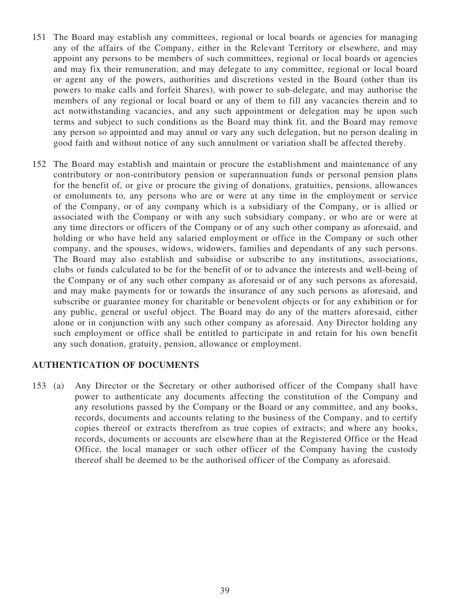- 151 The Board may establish any committees, regional or local boards or agencies for managing any of the affairs of the Company, either in the Relevant Territory or elsewhere, and may appoint any persons to be members of such committees, regional or local boards or agencies and may fix their remuneration, and may delegate to any committee, regional or local board or agent any of the powers, authorities and discretions vested in the Board (other than its powers to make calls and forfeit Shares), with power to sub-delegate, and may authorise the members of any regional or local board or any of them to fill any vacancies therein and to act notwithstanding vacancies, and any such appointment or delegation may be upon such terms and subject to such conditions as the Board may think fit, and the Board may remove any person so appointed and may annul or vary any such delegation, but no person dealing in good faith and without notice of any such annulment or variation shall be affected thereby.
- 152 The Board may establish and maintain or procure the establishment and maintenance of any contributory or non-contributory pension or superannuation funds or personal pension plans for the benefit of, or give or procure the giving of donations, gratuities, pensions, allowances or emoluments to, any persons who are or were at any time in the employment or service of the Company, or of any company which is a subsidiary of the Company, or is allied or associated with the Company or with any such subsidiary company, or who are or were at any time directors or officers of the Company or of any such other company as aforesaid, and holding or who have held any salaried employment or office in the Company or such other company, and the spouses, widows, widowers, families and dependants of any such persons. The Board may also establish and subsidise or subscribe to any institutions, associations, clubs or funds calculated to be for the benefit of or to advance the interests and well-being of the Company or of any such other company as aforesaid or of any such persons as aforesaid, and may make payments for or towards the insurance of any such persons as aforesaid, and subscribe or guarantee money for charitable or benevolent objects or for any exhibition or for any public, general or useful object. The Board may do any of the matters aforesaid, either alone or in conjunction with any such other company as aforesaid. Any Director holding any such employment or office shall be entitled to participate in and retain for his own benefit any such donation, gratuity, pension, allowance or employment.

#### **AUTHENTICATION OF DOCUMENTS**

153 (a) Any Director or the Secretary or other authorised officer of the Company shall have power to authenticate any documents affecting the constitution of the Company and any resolutions passed by the Company or the Board or any committee, and any books, records, documents and accounts relating to the business of the Company, and to certify copies thereof or extracts therefrom as true copies of extracts; and where any books, records, documents or accounts are elsewhere than at the Registered Office or the Head Office, the local manager or such other officer of the Company having the custody thereof shall be deemed to be the authorised officer of the Company as aforesaid.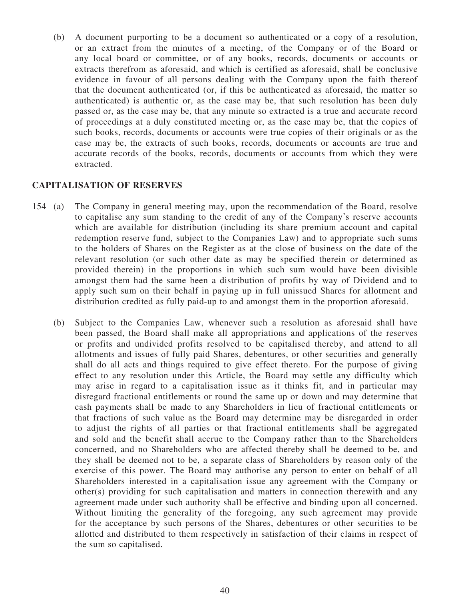(b) A document purporting to be a document so authenticated or a copy of a resolution, or an extract from the minutes of a meeting, of the Company or of the Board or any local board or committee, or of any books, records, documents or accounts or extracts therefrom as aforesaid, and which is certified as aforesaid, shall be conclusive evidence in favour of all persons dealing with the Company upon the faith thereof that the document authenticated (or, if this be authenticated as aforesaid, the matter so authenticated) is authentic or, as the case may be, that such resolution has been duly passed or, as the case may be, that any minute so extracted is a true and accurate record of proceedings at a duly constituted meeting or, as the case may be, that the copies of such books, records, documents or accounts were true copies of their originals or as the case may be, the extracts of such books, records, documents or accounts are true and accurate records of the books, records, documents or accounts from which they were extracted.

# **CAPITALISATION OF RESERVES**

- 154 (a) The Company in general meeting may, upon the recommendation of the Board, resolve to capitalise any sum standing to the credit of any of the Company's reserve accounts which are available for distribution (including its share premium account and capital redemption reserve fund, subject to the Companies Law) and to appropriate such sums to the holders of Shares on the Register as at the close of business on the date of the relevant resolution (or such other date as may be specified therein or determined as provided therein) in the proportions in which such sum would have been divisible amongst them had the same been a distribution of profits by way of Dividend and to apply such sum on their behalf in paying up in full unissued Shares for allotment and distribution credited as fully paid-up to and amongst them in the proportion aforesaid.
	- (b) Subject to the Companies Law, whenever such a resolution as aforesaid shall have been passed, the Board shall make all appropriations and applications of the reserves or profits and undivided profits resolved to be capitalised thereby, and attend to all allotments and issues of fully paid Shares, debentures, or other securities and generally shall do all acts and things required to give effect thereto. For the purpose of giving effect to any resolution under this Article, the Board may settle any difficulty which may arise in regard to a capitalisation issue as it thinks fit, and in particular may disregard fractional entitlements or round the same up or down and may determine that cash payments shall be made to any Shareholders in lieu of fractional entitlements or that fractions of such value as the Board may determine may be disregarded in order to adjust the rights of all parties or that fractional entitlements shall be aggregated and sold and the benefit shall accrue to the Company rather than to the Shareholders concerned, and no Shareholders who are affected thereby shall be deemed to be, and they shall be deemed not to be, a separate class of Shareholders by reason only of the exercise of this power. The Board may authorise any person to enter on behalf of all Shareholders interested in a capitalisation issue any agreement with the Company or other(s) providing for such capitalisation and matters in connection therewith and any agreement made under such authority shall be effective and binding upon all concerned. Without limiting the generality of the foregoing, any such agreement may provide for the acceptance by such persons of the Shares, debentures or other securities to be allotted and distributed to them respectively in satisfaction of their claims in respect of the sum so capitalised.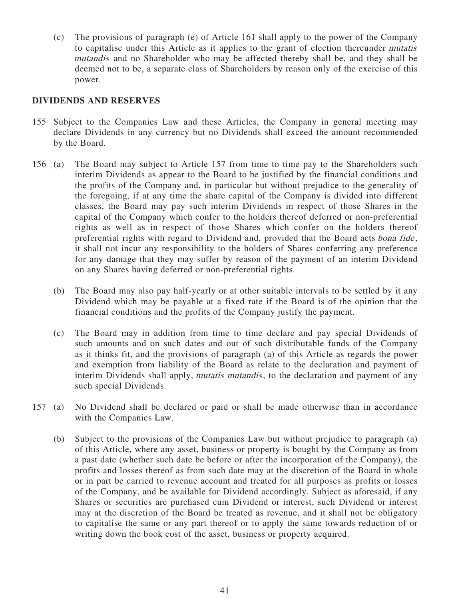(c) The provisions of paragraph (e) of Article 161 shall apply to the power of the Company to capitalise under this Article as it applies to the grant of election thereunder mutatis mutandis and no Shareholder who may be affected thereby shall be, and they shall be deemed not to be, a separate class of Shareholders by reason only of the exercise of this power.

#### **DIVIDENDS AND RESERVES**

- 155 Subject to the Companies Law and these Articles, the Company in general meeting may declare Dividends in any currency but no Dividends shall exceed the amount recommended by the Board.
- 156 (a) The Board may subject to Article 157 from time to time pay to the Shareholders such interim Dividends as appear to the Board to be justified by the financial conditions and the profits of the Company and, in particular but without prejudice to the generality of the foregoing, if at any time the share capital of the Company is divided into different classes, the Board may pay such interim Dividends in respect of those Shares in the capital of the Company which confer to the holders thereof deferred or non-preferential rights as well as in respect of those Shares which confer on the holders thereof preferential rights with regard to Dividend and, provided that the Board acts bona fide, it shall not incur any responsibility to the holders of Shares conferring any preference for any damage that they may suffer by reason of the payment of an interim Dividend on any Shares having deferred or non-preferential rights.
	- (b) The Board may also pay half-yearly or at other suitable intervals to be settled by it any Dividend which may be payable at a fixed rate if the Board is of the opinion that the financial conditions and the profits of the Company justify the payment.
	- (c) The Board may in addition from time to time declare and pay special Dividends of such amounts and on such dates and out of such distributable funds of the Company as it thinks fit, and the provisions of paragraph (a) of this Article as regards the power and exemption from liability of the Board as relate to the declaration and payment of interim Dividends shall apply, *mutatis mutandis*, to the declaration and payment of any such special Dividends.
- 157 (a) No Dividend shall be declared or paid or shall be made otherwise than in accordance with the Companies Law.
	- (b) Subject to the provisions of the Companies Law but without prejudice to paragraph (a) of this Article, where any asset, business or property is bought by the Company as from a past date (whether such date be before or after the incorporation of the Company), the profits and losses thereof as from such date may at the discretion of the Board in whole or in part be carried to revenue account and treated for all purposes as profits or losses of the Company, and be available for Dividend accordingly. Subject as aforesaid, if any Shares or securities are purchased cum Dividend or interest, such Dividend or interest may at the discretion of the Board be treated as revenue, and it shall not be obligatory to capitalise the same or any part thereof or to apply the same towards reduction of or writing down the book cost of the asset, business or property acquired.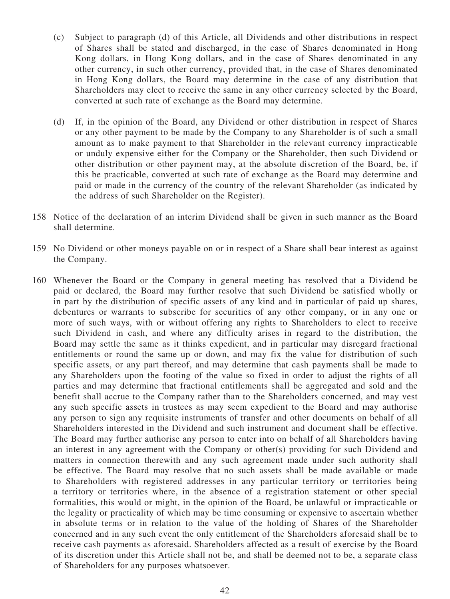- (c) Subject to paragraph (d) of this Article, all Dividends and other distributions in respect of Shares shall be stated and discharged, in the case of Shares denominated in Hong Kong dollars, in Hong Kong dollars, and in the case of Shares denominated in any other currency, in such other currency, provided that, in the case of Shares denominated in Hong Kong dollars, the Board may determine in the case of any distribution that Shareholders may elect to receive the same in any other currency selected by the Board, converted at such rate of exchange as the Board may determine.
- (d) If, in the opinion of the Board, any Dividend or other distribution in respect of Shares or any other payment to be made by the Company to any Shareholder is of such a small amount as to make payment to that Shareholder in the relevant currency impracticable or unduly expensive either for the Company or the Shareholder, then such Dividend or other distribution or other payment may, at the absolute discretion of the Board, be, if this be practicable, converted at such rate of exchange as the Board may determine and paid or made in the currency of the country of the relevant Shareholder (as indicated by the address of such Shareholder on the Register).
- 158 Notice of the declaration of an interim Dividend shall be given in such manner as the Board shall determine.
- 159 No Dividend or other moneys payable on or in respect of a Share shall bear interest as against the Company.
- 160 Whenever the Board or the Company in general meeting has resolved that a Dividend be paid or declared, the Board may further resolve that such Dividend be satisfied wholly or in part by the distribution of specific assets of any kind and in particular of paid up shares, debentures or warrants to subscribe for securities of any other company, or in any one or more of such ways, with or without offering any rights to Shareholders to elect to receive such Dividend in cash, and where any difficulty arises in regard to the distribution, the Board may settle the same as it thinks expedient, and in particular may disregard fractional entitlements or round the same up or down, and may fix the value for distribution of such specific assets, or any part thereof, and may determine that cash payments shall be made to any Shareholders upon the footing of the value so fixed in order to adjust the rights of all parties and may determine that fractional entitlements shall be aggregated and sold and the benefit shall accrue to the Company rather than to the Shareholders concerned, and may vest any such specific assets in trustees as may seem expedient to the Board and may authorise any person to sign any requisite instruments of transfer and other documents on behalf of all Shareholders interested in the Dividend and such instrument and document shall be effective. The Board may further authorise any person to enter into on behalf of all Shareholders having an interest in any agreement with the Company or other(s) providing for such Dividend and matters in connection therewith and any such agreement made under such authority shall be effective. The Board may resolve that no such assets shall be made available or made to Shareholders with registered addresses in any particular territory or territories being a territory or territories where, in the absence of a registration statement or other special formalities, this would or might, in the opinion of the Board, be unlawful or impracticable or the legality or practicality of which may be time consuming or expensive to ascertain whether in absolute terms or in relation to the value of the holding of Shares of the Shareholder concerned and in any such event the only entitlement of the Shareholders aforesaid shall be to receive cash payments as aforesaid. Shareholders affected as a result of exercise by the Board of its discretion under this Article shall not be, and shall be deemed not to be, a separate class of Shareholders for any purposes whatsoever.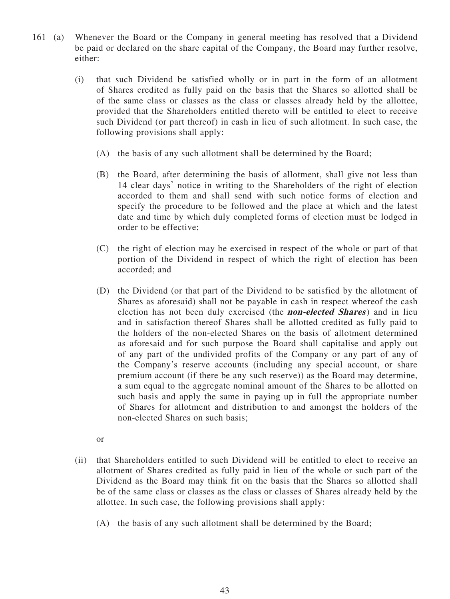- 161 (a) Whenever the Board or the Company in general meeting has resolved that a Dividend be paid or declared on the share capital of the Company, the Board may further resolve, either:
	- (i) that such Dividend be satisfied wholly or in part in the form of an allotment of Shares credited as fully paid on the basis that the Shares so allotted shall be of the same class or classes as the class or classes already held by the allottee, provided that the Shareholders entitled thereto will be entitled to elect to receive such Dividend (or part thereof) in cash in lieu of such allotment. In such case, the following provisions shall apply:
		- (A) the basis of any such allotment shall be determined by the Board;
		- (B) the Board, after determining the basis of allotment, shall give not less than 14 clear days' notice in writing to the Shareholders of the right of election accorded to them and shall send with such notice forms of election and specify the procedure to be followed and the place at which and the latest date and time by which duly completed forms of election must be lodged in order to be effective;
		- (C) the right of election may be exercised in respect of the whole or part of that portion of the Dividend in respect of which the right of election has been accorded; and
		- (D) the Dividend (or that part of the Dividend to be satisfied by the allotment of Shares as aforesaid) shall not be payable in cash in respect whereof the cash election has not been duly exercised (the **non-elected Shares**) and in lieu and in satisfaction thereof Shares shall be allotted credited as fully paid to the holders of the non-elected Shares on the basis of allotment determined as aforesaid and for such purpose the Board shall capitalise and apply out of any part of the undivided profits of the Company or any part of any of the Company's reserve accounts (including any special account, or share premium account (if there be any such reserve)) as the Board may determine, a sum equal to the aggregate nominal amount of the Shares to be allotted on such basis and apply the same in paying up in full the appropriate number of Shares for allotment and distribution to and amongst the holders of the non-elected Shares on such basis;
		- or
	- (ii) that Shareholders entitled to such Dividend will be entitled to elect to receive an allotment of Shares credited as fully paid in lieu of the whole or such part of the Dividend as the Board may think fit on the basis that the Shares so allotted shall be of the same class or classes as the class or classes of Shares already held by the allottee. In such case, the following provisions shall apply:
		- (A) the basis of any such allotment shall be determined by the Board;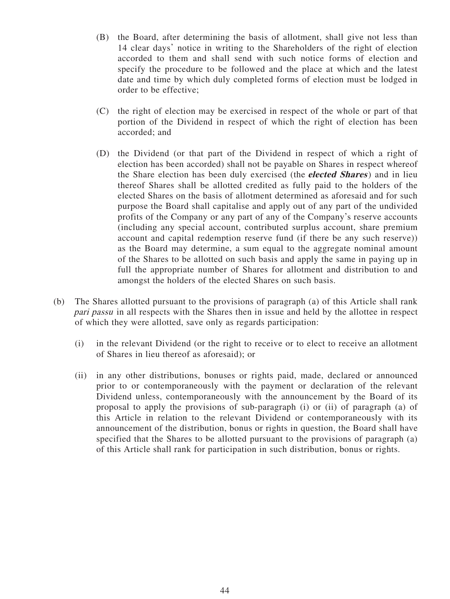- (B) the Board, after determining the basis of allotment, shall give not less than 14 clear days' notice in writing to the Shareholders of the right of election accorded to them and shall send with such notice forms of election and specify the procedure to be followed and the place at which and the latest date and time by which duly completed forms of election must be lodged in order to be effective;
- (C) the right of election may be exercised in respect of the whole or part of that portion of the Dividend in respect of which the right of election has been accorded; and
- (D) the Dividend (or that part of the Dividend in respect of which a right of election has been accorded) shall not be payable on Shares in respect whereof the Share election has been duly exercised (the **elected Shares**) and in lieu thereof Shares shall be allotted credited as fully paid to the holders of the elected Shares on the basis of allotment determined as aforesaid and for such purpose the Board shall capitalise and apply out of any part of the undivided profits of the Company or any part of any of the Company's reserve accounts (including any special account, contributed surplus account, share premium account and capital redemption reserve fund (if there be any such reserve)) as the Board may determine, a sum equal to the aggregate nominal amount of the Shares to be allotted on such basis and apply the same in paying up in full the appropriate number of Shares for allotment and distribution to and amongst the holders of the elected Shares on such basis.
- (b) The Shares allotted pursuant to the provisions of paragraph (a) of this Article shall rank pari passu in all respects with the Shares then in issue and held by the allottee in respect of which they were allotted, save only as regards participation:
	- (i) in the relevant Dividend (or the right to receive or to elect to receive an allotment of Shares in lieu thereof as aforesaid); or
	- (ii) in any other distributions, bonuses or rights paid, made, declared or announced prior to or contemporaneously with the payment or declaration of the relevant Dividend unless, contemporaneously with the announcement by the Board of its proposal to apply the provisions of sub-paragraph (i) or (ii) of paragraph (a) of this Article in relation to the relevant Dividend or contemporaneously with its announcement of the distribution, bonus or rights in question, the Board shall have specified that the Shares to be allotted pursuant to the provisions of paragraph (a) of this Article shall rank for participation in such distribution, bonus or rights.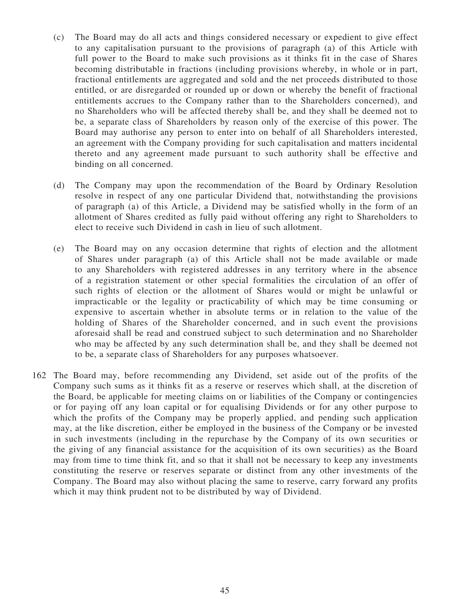- (c) The Board may do all acts and things considered necessary or expedient to give effect to any capitalisation pursuant to the provisions of paragraph (a) of this Article with full power to the Board to make such provisions as it thinks fit in the case of Shares becoming distributable in fractions (including provisions whereby, in whole or in part, fractional entitlements are aggregated and sold and the net proceeds distributed to those entitled, or are disregarded or rounded up or down or whereby the benefit of fractional entitlements accrues to the Company rather than to the Shareholders concerned), and no Shareholders who will be affected thereby shall be, and they shall be deemed not to be, a separate class of Shareholders by reason only of the exercise of this power. The Board may authorise any person to enter into on behalf of all Shareholders interested, an agreement with the Company providing for such capitalisation and matters incidental thereto and any agreement made pursuant to such authority shall be effective and binding on all concerned.
- (d) The Company may upon the recommendation of the Board by Ordinary Resolution resolve in respect of any one particular Dividend that, notwithstanding the provisions of paragraph (a) of this Article, a Dividend may be satisfied wholly in the form of an allotment of Shares credited as fully paid without offering any right to Shareholders to elect to receive such Dividend in cash in lieu of such allotment.
- (e) The Board may on any occasion determine that rights of election and the allotment of Shares under paragraph (a) of this Article shall not be made available or made to any Shareholders with registered addresses in any territory where in the absence of a registration statement or other special formalities the circulation of an offer of such rights of election or the allotment of Shares would or might be unlawful or impracticable or the legality or practicability of which may be time consuming or expensive to ascertain whether in absolute terms or in relation to the value of the holding of Shares of the Shareholder concerned, and in such event the provisions aforesaid shall be read and construed subject to such determination and no Shareholder who may be affected by any such determination shall be, and they shall be deemed not to be, a separate class of Shareholders for any purposes whatsoever.
- 162 The Board may, before recommending any Dividend, set aside out of the profits of the Company such sums as it thinks fit as a reserve or reserves which shall, at the discretion of the Board, be applicable for meeting claims on or liabilities of the Company or contingencies or for paying off any loan capital or for equalising Dividends or for any other purpose to which the profits of the Company may be properly applied, and pending such application may, at the like discretion, either be employed in the business of the Company or be invested in such investments (including in the repurchase by the Company of its own securities or the giving of any financial assistance for the acquisition of its own securities) as the Board may from time to time think fit, and so that it shall not be necessary to keep any investments constituting the reserve or reserves separate or distinct from any other investments of the Company. The Board may also without placing the same to reserve, carry forward any profits which it may think prudent not to be distributed by way of Dividend.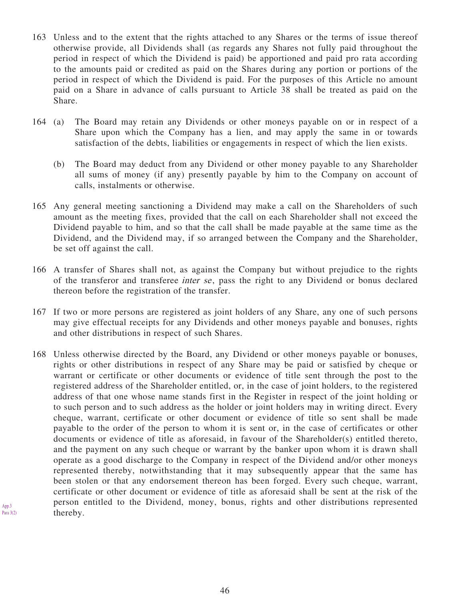- 163 Unless and to the extent that the rights attached to any Shares or the terms of issue thereof otherwise provide, all Dividends shall (as regards any Shares not fully paid throughout the period in respect of which the Dividend is paid) be apportioned and paid pro rata according to the amounts paid or credited as paid on the Shares during any portion or portions of the period in respect of which the Dividend is paid. For the purposes of this Article no amount paid on a Share in advance of calls pursuant to Article 38 shall be treated as paid on the Share.
- 164 (a) The Board may retain any Dividends or other moneys payable on or in respect of a Share upon which the Company has a lien, and may apply the same in or towards satisfaction of the debts, liabilities or engagements in respect of which the lien exists.
	- (b) The Board may deduct from any Dividend or other money payable to any Shareholder all sums of money (if any) presently payable by him to the Company on account of calls, instalments or otherwise.
- 165 Any general meeting sanctioning a Dividend may make a call on the Shareholders of such amount as the meeting fixes, provided that the call on each Shareholder shall not exceed the Dividend payable to him, and so that the call shall be made payable at the same time as the Dividend, and the Dividend may, if so arranged between the Company and the Shareholder, be set off against the call.
- 166 A transfer of Shares shall not, as against the Company but without prejudice to the rights of the transferor and transferee *inter se*, pass the right to any Dividend or bonus declared thereon before the registration of the transfer.
- 167 If two or more persons are registered as joint holders of any Share, any one of such persons may give effectual receipts for any Dividends and other moneys payable and bonuses, rights and other distributions in respect of such Shares.
- 168 Unless otherwise directed by the Board, any Dividend or other moneys payable or bonuses, rights or other distributions in respect of any Share may be paid or satisfied by cheque or warrant or certificate or other documents or evidence of title sent through the post to the registered address of the Shareholder entitled, or, in the case of joint holders, to the registered address of that one whose name stands first in the Register in respect of the joint holding or to such person and to such address as the holder or joint holders may in writing direct. Every cheque, warrant, certificate or other document or evidence of title so sent shall be made payable to the order of the person to whom it is sent or, in the case of certificates or other documents or evidence of title as aforesaid, in favour of the Shareholder(s) entitled thereto, and the payment on any such cheque or warrant by the banker upon whom it is drawn shall operate as a good discharge to the Company in respect of the Dividend and/or other moneys represented thereby, notwithstanding that it may subsequently appear that the same has been stolen or that any endorsement thereon has been forged. Every such cheque, warrant, certificate or other document or evidence of title as aforesaid shall be sent at the risk of the person entitled to the Dividend, money, bonus, rights and other distributions represented thereby.

App.3 Para  $3(2)$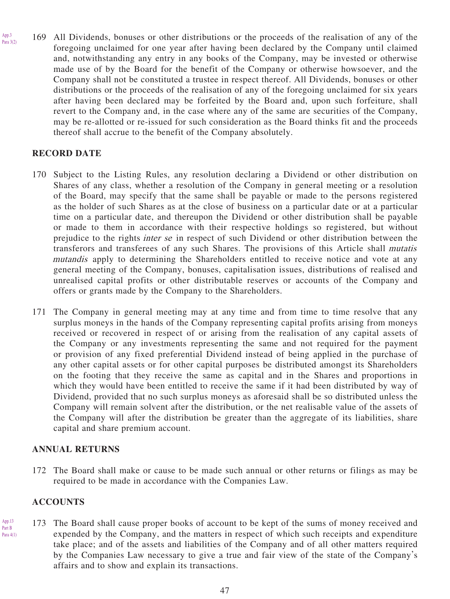169 All Dividends, bonuses or other distributions or the proceeds of the realisation of any of the foregoing unclaimed for one year after having been declared by the Company until claimed and, notwithstanding any entry in any books of the Company, may be invested or otherwise made use of by the Board for the benefit of the Company or otherwise howsoever, and the Company shall not be constituted a trustee in respect thereof. All Dividends, bonuses or other distributions or the proceeds of the realisation of any of the foregoing unclaimed for six years after having been declared may be forfeited by the Board and, upon such forfeiture, shall revert to the Company and, in the case where any of the same are securities of the Company, may be re-allotted or re-issued for such consideration as the Board thinks fit and the proceeds thereof shall accrue to the benefit of the Company absolutely.

# **RECORD DATE**

App.3 Para 3(2)

- 170 Subject to the Listing Rules, any resolution declaring a Dividend or other distribution on Shares of any class, whether a resolution of the Company in general meeting or a resolution of the Board, may specify that the same shall be payable or made to the persons registered as the holder of such Shares as at the close of business on a particular date or at a particular time on a particular date, and thereupon the Dividend or other distribution shall be payable or made to them in accordance with their respective holdings so registered, but without prejudice to the rights inter se in respect of such Dividend or other distribution between the transferors and transferees of any such Shares. The provisions of this Article shall mutatis mutandis apply to determining the Shareholders entitled to receive notice and vote at any general meeting of the Company, bonuses, capitalisation issues, distributions of realised and unrealised capital profits or other distributable reserves or accounts of the Company and offers or grants made by the Company to the Shareholders.
- 171 The Company in general meeting may at any time and from time to time resolve that any surplus moneys in the hands of the Company representing capital profits arising from moneys received or recovered in respect of or arising from the realisation of any capital assets of the Company or any investments representing the same and not required for the payment or provision of any fixed preferential Dividend instead of being applied in the purchase of any other capital assets or for other capital purposes be distributed amongst its Shareholders on the footing that they receive the same as capital and in the Shares and proportions in which they would have been entitled to receive the same if it had been distributed by way of Dividend, provided that no such surplus moneys as aforesaid shall be so distributed unless the Company will remain solvent after the distribution, or the net realisable value of the assets of the Company will after the distribution be greater than the aggregate of its liabilities, share capital and share premium account.

# **ANNUAL RETURNS**

172 The Board shall make or cause to be made such annual or other returns or filings as may be required to be made in accordance with the Companies Law.

#### **ACCOUNTS**

App.13 Part B Para 4(1) 173 The Board shall cause proper books of account to be kept of the sums of money received and expended by the Company, and the matters in respect of which such receipts and expenditure take place; and of the assets and liabilities of the Company and of all other matters required by the Companies Law necessary to give a true and fair view of the state of the Company's affairs and to show and explain its transactions.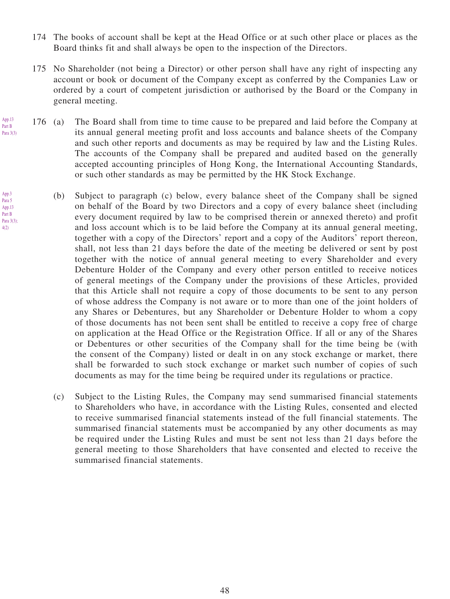- 174 The books of account shall be kept at the Head Office or at such other place or places as the Board thinks fit and shall always be open to the inspection of the Directors.
- 175 No Shareholder (not being a Director) or other person shall have any right of inspecting any account or book or document of the Company except as conferred by the Companies Law or ordered by a court of competent jurisdiction or authorised by the Board or the Company in general meeting.
- 176 (a) The Board shall from time to time cause to be prepared and laid before the Company at its annual general meeting profit and loss accounts and balance sheets of the Company and such other reports and documents as may be required by law and the Listing Rules. The accounts of the Company shall be prepared and audited based on the generally accepted accounting principles of Hong Kong, the International Accounting Standards, or such other standards as may be permitted by the HK Stock Exchange.
	- (b) Subject to paragraph (c) below, every balance sheet of the Company shall be signed on behalf of the Board by two Directors and a copy of every balance sheet (including every document required by law to be comprised therein or annexed thereto) and profit and loss account which is to be laid before the Company at its annual general meeting, together with a copy of the Directors' report and a copy of the Auditors' report thereon, shall, not less than 21 days before the date of the meeting be delivered or sent by post together with the notice of annual general meeting to every Shareholder and every Debenture Holder of the Company and every other person entitled to receive notices of general meetings of the Company under the provisions of these Articles, provided that this Article shall not require a copy of those documents to be sent to any person of whose address the Company is not aware or to more than one of the joint holders of any Shares or Debentures, but any Shareholder or Debenture Holder to whom a copy of those documents has not been sent shall be entitled to receive a copy free of charge on application at the Head Office or the Registration Office. If all or any of the Shares or Debentures or other securities of the Company shall for the time being be (with the consent of the Company) listed or dealt in on any stock exchange or market, there shall be forwarded to such stock exchange or market such number of copies of such documents as may for the time being be required under its regulations or practice.
	- (c) Subject to the Listing Rules, the Company may send summarised financial statements to Shareholders who have, in accordance with the Listing Rules, consented and elected to receive summarised financial statements instead of the full financial statements. The summarised financial statements must be accompanied by any other documents as may be required under the Listing Rules and must be sent not less than 21 days before the general meeting to those Shareholders that have consented and elected to receive the summarised financial statements.

App.3

App.13 Part B Para 3(3)

Para 5 App.13 Part B Para 3(3); 4(2)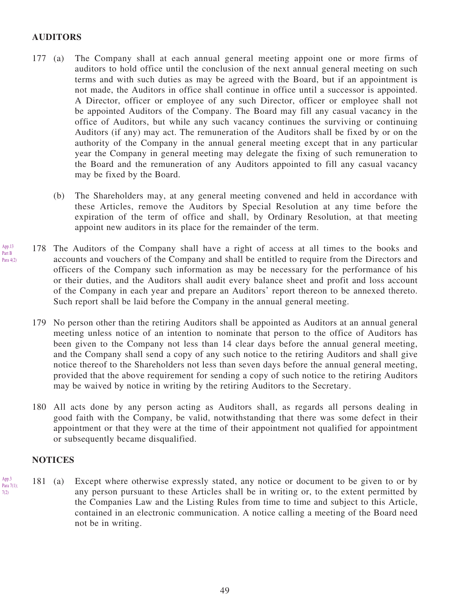#### **AUDITORS**

- 177 (a) The Company shall at each annual general meeting appoint one or more firms of auditors to hold office until the conclusion of the next annual general meeting on such terms and with such duties as may be agreed with the Board, but if an appointment is not made, the Auditors in office shall continue in office until a successor is appointed. A Director, officer or employee of any such Director, officer or employee shall not be appointed Auditors of the Company. The Board may fill any casual vacancy in the office of Auditors, but while any such vacancy continues the surviving or continuing Auditors (if any) may act. The remuneration of the Auditors shall be fixed by or on the authority of the Company in the annual general meeting except that in any particular year the Company in general meeting may delegate the fixing of such remuneration to the Board and the remuneration of any Auditors appointed to fill any casual vacancy may be fixed by the Board.
	- (b) The Shareholders may, at any general meeting convened and held in accordance with these Articles, remove the Auditors by Special Resolution at any time before the expiration of the term of office and shall, by Ordinary Resolution, at that meeting appoint new auditors in its place for the remainder of the term.
- 178 The Auditors of the Company shall have a right of access at all times to the books and accounts and vouchers of the Company and shall be entitled to require from the Directors and officers of the Company such information as may be necessary for the performance of his or their duties, and the Auditors shall audit every balance sheet and profit and loss account of the Company in each year and prepare an Auditors' report thereon to be annexed thereto. Such report shall be laid before the Company in the annual general meeting.
	- 179 No person other than the retiring Auditors shall be appointed as Auditors at an annual general meeting unless notice of an intention to nominate that person to the office of Auditors has been given to the Company not less than 14 clear days before the annual general meeting, and the Company shall send a copy of any such notice to the retiring Auditors and shall give notice thereof to the Shareholders not less than seven days before the annual general meeting, provided that the above requirement for sending a copy of such notice to the retiring Auditors may be waived by notice in writing by the retiring Auditors to the Secretary.
	- 180 All acts done by any person acting as Auditors shall, as regards all persons dealing in good faith with the Company, be valid, notwithstanding that there was some defect in their appointment or that they were at the time of their appointment not qualified for appointment or subsequently became disqualified.

#### **NOTICES**

App.13 Part B Para 4(2)

App.3 Para 7(1); 7(2)

181 (a) Except where otherwise expressly stated, any notice or document to be given to or by any person pursuant to these Articles shall be in writing or, to the extent permitted by the Companies Law and the Listing Rules from time to time and subject to this Article, contained in an electronic communication. A notice calling a meeting of the Board need not be in writing.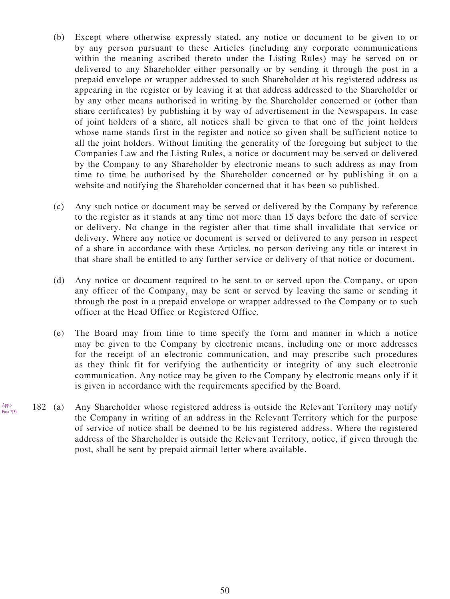- (b) Except where otherwise expressly stated, any notice or document to be given to or by any person pursuant to these Articles (including any corporate communications within the meaning ascribed thereto under the Listing Rules) may be served on or delivered to any Shareholder either personally or by sending it through the post in a prepaid envelope or wrapper addressed to such Shareholder at his registered address as appearing in the register or by leaving it at that address addressed to the Shareholder or by any other means authorised in writing by the Shareholder concerned or (other than share certificates) by publishing it by way of advertisement in the Newspapers. In case of joint holders of a share, all notices shall be given to that one of the joint holders whose name stands first in the register and notice so given shall be sufficient notice to all the joint holders. Without limiting the generality of the foregoing but subject to the Companies Law and the Listing Rules, a notice or document may be served or delivered by the Company to any Shareholder by electronic means to such address as may from time to time be authorised by the Shareholder concerned or by publishing it on a website and notifying the Shareholder concerned that it has been so published.
- (c) Any such notice or document may be served or delivered by the Company by reference to the register as it stands at any time not more than 15 days before the date of service or delivery. No change in the register after that time shall invalidate that service or delivery. Where any notice or document is served or delivered to any person in respect of a share in accordance with these Articles, no person deriving any title or interest in that share shall be entitled to any further service or delivery of that notice or document.
- (d) Any notice or document required to be sent to or served upon the Company, or upon any officer of the Company, may be sent or served by leaving the same or sending it through the post in a prepaid envelope or wrapper addressed to the Company or to such officer at the Head Office or Registered Office.
- (e) The Board may from time to time specify the form and manner in which a notice may be given to the Company by electronic means, including one or more addresses for the receipt of an electronic communication, and may prescribe such procedures as they think fit for verifying the authenticity or integrity of any such electronic communication. Any notice may be given to the Company by electronic means only if it is given in accordance with the requirements specified by the Board.
- 182 (a) Any Shareholder whose registered address is outside the Relevant Territory may notify the Company in writing of an address in the Relevant Territory which for the purpose of service of notice shall be deemed to be his registered address. Where the registered address of the Shareholder is outside the Relevant Territory, notice, if given through the post, shall be sent by prepaid airmail letter where available. App.3 Para 7(3)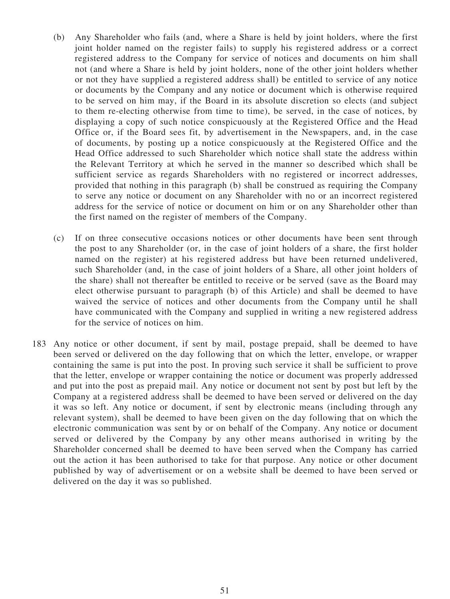- (b) Any Shareholder who fails (and, where a Share is held by joint holders, where the first joint holder named on the register fails) to supply his registered address or a correct registered address to the Company for service of notices and documents on him shall not (and where a Share is held by joint holders, none of the other joint holders whether or not they have supplied a registered address shall) be entitled to service of any notice or documents by the Company and any notice or document which is otherwise required to be served on him may, if the Board in its absolute discretion so elects (and subject to them re-electing otherwise from time to time), be served, in the case of notices, by displaying a copy of such notice conspicuously at the Registered Office and the Head Office or, if the Board sees fit, by advertisement in the Newspapers, and, in the case of documents, by posting up a notice conspicuously at the Registered Office and the Head Office addressed to such Shareholder which notice shall state the address within the Relevant Territory at which he served in the manner so described which shall be sufficient service as regards Shareholders with no registered or incorrect addresses, provided that nothing in this paragraph (b) shall be construed as requiring the Company to serve any notice or document on any Shareholder with no or an incorrect registered address for the service of notice or document on him or on any Shareholder other than the first named on the register of members of the Company.
- (c) If on three consecutive occasions notices or other documents have been sent through the post to any Shareholder (or, in the case of joint holders of a share, the first holder named on the register) at his registered address but have been returned undelivered, such Shareholder (and, in the case of joint holders of a Share, all other joint holders of the share) shall not thereafter be entitled to receive or be served (save as the Board may elect otherwise pursuant to paragraph (b) of this Article) and shall be deemed to have waived the service of notices and other documents from the Company until he shall have communicated with the Company and supplied in writing a new registered address for the service of notices on him.
- 183 Any notice or other document, if sent by mail, postage prepaid, shall be deemed to have been served or delivered on the day following that on which the letter, envelope, or wrapper containing the same is put into the post. In proving such service it shall be sufficient to prove that the letter, envelope or wrapper containing the notice or document was properly addressed and put into the post as prepaid mail. Any notice or document not sent by post but left by the Company at a registered address shall be deemed to have been served or delivered on the day it was so left. Any notice or document, if sent by electronic means (including through any relevant system), shall be deemed to have been given on the day following that on which the electronic communication was sent by or on behalf of the Company. Any notice or document served or delivered by the Company by any other means authorised in writing by the Shareholder concerned shall be deemed to have been served when the Company has carried out the action it has been authorised to take for that purpose. Any notice or other document published by way of advertisement or on a website shall be deemed to have been served or delivered on the day it was so published.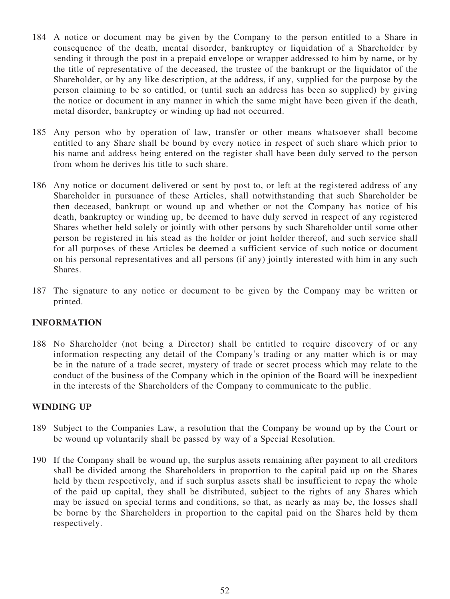- 184 A notice or document may be given by the Company to the person entitled to a Share in consequence of the death, mental disorder, bankruptcy or liquidation of a Shareholder by sending it through the post in a prepaid envelope or wrapper addressed to him by name, or by the title of representative of the deceased, the trustee of the bankrupt or the liquidator of the Shareholder, or by any like description, at the address, if any, supplied for the purpose by the person claiming to be so entitled, or (until such an address has been so supplied) by giving the notice or document in any manner in which the same might have been given if the death, metal disorder, bankruptcy or winding up had not occurred.
- 185 Any person who by operation of law, transfer or other means whatsoever shall become entitled to any Share shall be bound by every notice in respect of such share which prior to his name and address being entered on the register shall have been duly served to the person from whom he derives his title to such share.
- 186 Any notice or document delivered or sent by post to, or left at the registered address of any Shareholder in pursuance of these Articles, shall notwithstanding that such Shareholder be then deceased, bankrupt or wound up and whether or not the Company has notice of his death, bankruptcy or winding up, be deemed to have duly served in respect of any registered Shares whether held solely or jointly with other persons by such Shareholder until some other person be registered in his stead as the holder or joint holder thereof, and such service shall for all purposes of these Articles be deemed a sufficient service of such notice or document on his personal representatives and all persons (if any) jointly interested with him in any such Shares.
- 187 The signature to any notice or document to be given by the Company may be written or printed.

# **INFORMATION**

188 No Shareholder (not being a Director) shall be entitled to require discovery of or any information respecting any detail of the Company's trading or any matter which is or may be in the nature of a trade secret, mystery of trade or secret process which may relate to the conduct of the business of the Company which in the opinion of the Board will be inexpedient in the interests of the Shareholders of the Company to communicate to the public.

#### **WINDING UP**

- 189 Subject to the Companies Law, a resolution that the Company be wound up by the Court or be wound up voluntarily shall be passed by way of a Special Resolution.
- 190 If the Company shall be wound up, the surplus assets remaining after payment to all creditors shall be divided among the Shareholders in proportion to the capital paid up on the Shares held by them respectively, and if such surplus assets shall be insufficient to repay the whole of the paid up capital, they shall be distributed, subject to the rights of any Shares which may be issued on special terms and conditions, so that, as nearly as may be, the losses shall be borne by the Shareholders in proportion to the capital paid on the Shares held by them respectively.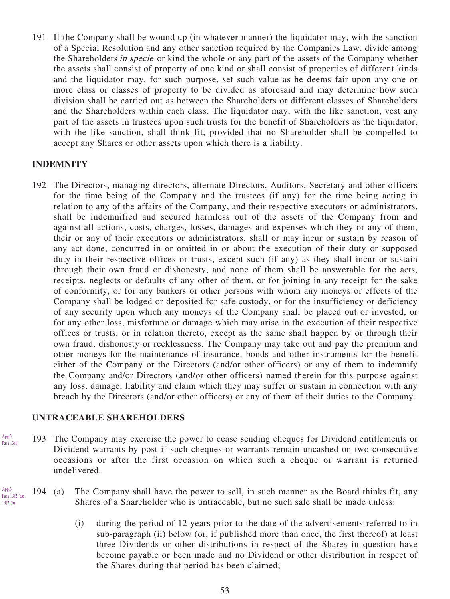191 If the Company shall be wound up (in whatever manner) the liquidator may, with the sanction of a Special Resolution and any other sanction required by the Companies Law, divide among the Shareholders in specie or kind the whole or any part of the assets of the Company whether the assets shall consist of property of one kind or shall consist of properties of different kinds and the liquidator may, for such purpose, set such value as he deems fair upon any one or more class or classes of property to be divided as aforesaid and may determine how such division shall be carried out as between the Shareholders or different classes of Shareholders and the Shareholders within each class. The liquidator may, with the like sanction, vest any part of the assets in trustees upon such trusts for the benefit of Shareholders as the liquidator, with the like sanction, shall think fit, provided that no Shareholder shall be compelled to accept any Shares or other assets upon which there is a liability.

#### **INDEMNITY**

192 The Directors, managing directors, alternate Directors, Auditors, Secretary and other officers for the time being of the Company and the trustees (if any) for the time being acting in relation to any of the affairs of the Company, and their respective executors or administrators, shall be indemnified and secured harmless out of the assets of the Company from and against all actions, costs, charges, losses, damages and expenses which they or any of them, their or any of their executors or administrators, shall or may incur or sustain by reason of any act done, concurred in or omitted in or about the execution of their duty or supposed duty in their respective offices or trusts, except such (if any) as they shall incur or sustain through their own fraud or dishonesty, and none of them shall be answerable for the acts, receipts, neglects or defaults of any other of them, or for joining in any receipt for the sake of conformity, or for any bankers or other persons with whom any moneys or effects of the Company shall be lodged or deposited for safe custody, or for the insufficiency or deficiency of any security upon which any moneys of the Company shall be placed out or invested, or for any other loss, misfortune or damage which may arise in the execution of their respective offices or trusts, or in relation thereto, except as the same shall happen by or through their own fraud, dishonesty or recklessness. The Company may take out and pay the premium and other moneys for the maintenance of insurance, bonds and other instruments for the benefit either of the Company or the Directors (and/or other officers) or any of them to indemnify the Company and/or Directors (and/or other officers) named therein for this purpose against any loss, damage, liability and claim which they may suffer or sustain in connection with any breach by the Directors (and/or other officers) or any of them of their duties to the Company.

## **UNTRACEABLE SHAREHOLDERS**

App.3

App.3

13(2)(b)

193 The Company may exercise the power to cease sending cheques for Dividend entitlements or Dividend warrants by post if such cheques or warrants remain uncashed on two consecutive occasions or after the first occasion on which such a cheque or warrant is returned undelivered. Para 13(1)

#### 194 (a) The Company shall have the power to sell, in such manner as the Board thinks fit, any Shares of a Shareholder who is untraceable, but no such sale shall be made unless: Para 13(2)(a);

(i) during the period of 12 years prior to the date of the advertisements referred to in sub-paragraph (ii) below (or, if published more than once, the first thereof) at least three Dividends or other distributions in respect of the Shares in question have become payable or been made and no Dividend or other distribution in respect of the Shares during that period has been claimed;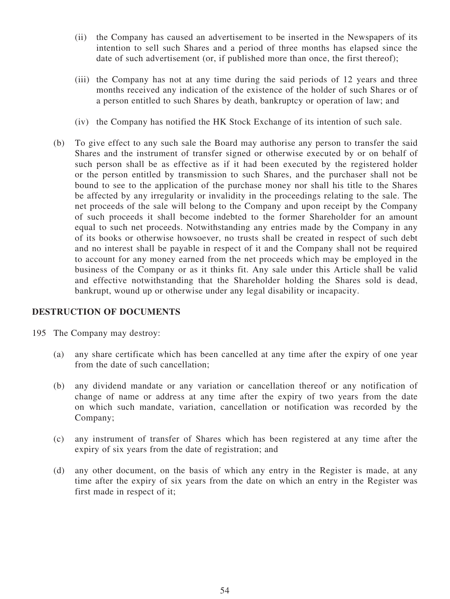- (ii) the Company has caused an advertisement to be inserted in the Newspapers of its intention to sell such Shares and a period of three months has elapsed since the date of such advertisement (or, if published more than once, the first thereof);
- (iii) the Company has not at any time during the said periods of 12 years and three months received any indication of the existence of the holder of such Shares or of a person entitled to such Shares by death, bankruptcy or operation of law; and
- (iv) the Company has notified the HK Stock Exchange of its intention of such sale.
- (b) To give effect to any such sale the Board may authorise any person to transfer the said Shares and the instrument of transfer signed or otherwise executed by or on behalf of such person shall be as effective as if it had been executed by the registered holder or the person entitled by transmission to such Shares, and the purchaser shall not be bound to see to the application of the purchase money nor shall his title to the Shares be affected by any irregularity or invalidity in the proceedings relating to the sale. The net proceeds of the sale will belong to the Company and upon receipt by the Company of such proceeds it shall become indebted to the former Shareholder for an amount equal to such net proceeds. Notwithstanding any entries made by the Company in any of its books or otherwise howsoever, no trusts shall be created in respect of such debt and no interest shall be payable in respect of it and the Company shall not be required to account for any money earned from the net proceeds which may be employed in the business of the Company or as it thinks fit. Any sale under this Article shall be valid and effective notwithstanding that the Shareholder holding the Shares sold is dead, bankrupt, wound up or otherwise under any legal disability or incapacity.

#### **DESTRUCTION OF DOCUMENTS**

- 195 The Company may destroy:
	- (a) any share certificate which has been cancelled at any time after the expiry of one year from the date of such cancellation;
	- (b) any dividend mandate or any variation or cancellation thereof or any notification of change of name or address at any time after the expiry of two years from the date on which such mandate, variation, cancellation or notification was recorded by the Company;
	- (c) any instrument of transfer of Shares which has been registered at any time after the expiry of six years from the date of registration; and
	- (d) any other document, on the basis of which any entry in the Register is made, at any time after the expiry of six years from the date on which an entry in the Register was first made in respect of it;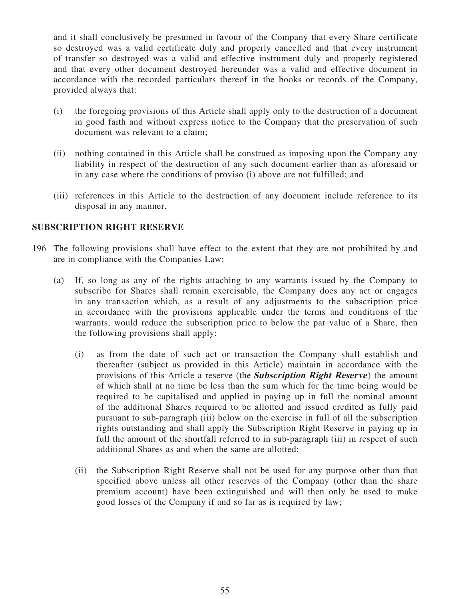and it shall conclusively be presumed in favour of the Company that every Share certificate so destroyed was a valid certificate duly and properly cancelled and that every instrument of transfer so destroyed was a valid and effective instrument duly and properly registered and that every other document destroyed hereunder was a valid and effective document in accordance with the recorded particulars thereof in the books or records of the Company, provided always that:

- (i) the foregoing provisions of this Article shall apply only to the destruction of a document in good faith and without express notice to the Company that the preservation of such document was relevant to a claim;
- (ii) nothing contained in this Article shall be construed as imposing upon the Company any liability in respect of the destruction of any such document earlier than as aforesaid or in any case where the conditions of proviso (i) above are not fulfilled; and
- (iii) references in this Article to the destruction of any document include reference to its disposal in any manner.

#### **SUBSCRIPTION RIGHT RESERVE**

- 196 The following provisions shall have effect to the extent that they are not prohibited by and are in compliance with the Companies Law:
	- (a) If, so long as any of the rights attaching to any warrants issued by the Company to subscribe for Shares shall remain exercisable, the Company does any act or engages in any transaction which, as a result of any adjustments to the subscription price in accordance with the provisions applicable under the terms and conditions of the warrants, would reduce the subscription price to below the par value of a Share, then the following provisions shall apply:
		- (i) as from the date of such act or transaction the Company shall establish and thereafter (subject as provided in this Article) maintain in accordance with the provisions of this Article a reserve (the **Subscription Right Reserve** ) the amount of which shall at no time be less than the sum which for the time being would be required to be capitalised and applied in paying up in full the nominal amount of the additional Shares required to be allotted and issued credited as fully paid pursuant to sub-paragraph (iii) below on the exercise in full of all the subscription rights outstanding and shall apply the Subscription Right Reserve in paying up in full the amount of the shortfall referred to in sub-paragraph (iii) in respect of such additional Shares as and when the same are allotted;
		- (ii) the Subscription Right Reserve shall not be used for any purpose other than that specified above unless all other reserves of the Company (other than the share premium account) have been extinguished and will then only be used to make good losses of the Company if and so far as is required by law;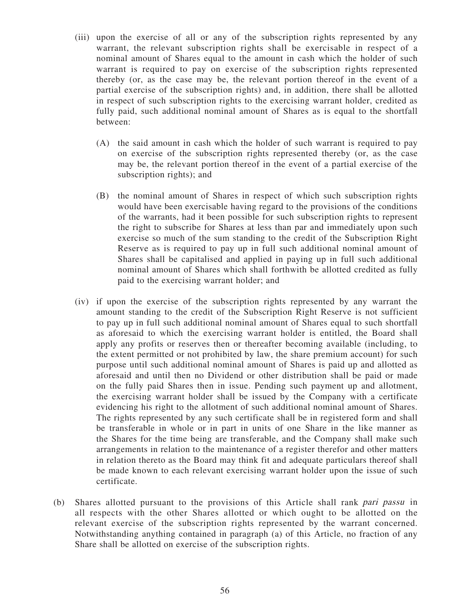- (iii) upon the exercise of all or any of the subscription rights represented by any warrant, the relevant subscription rights shall be exercisable in respect of a nominal amount of Shares equal to the amount in cash which the holder of such warrant is required to pay on exercise of the subscription rights represented thereby (or, as the case may be, the relevant portion thereof in the event of a partial exercise of the subscription rights) and, in addition, there shall be allotted in respect of such subscription rights to the exercising warrant holder, credited as fully paid, such additional nominal amount of Shares as is equal to the shortfall between:
	- (A) the said amount in cash which the holder of such warrant is required to pay on exercise of the subscription rights represented thereby (or, as the case may be, the relevant portion thereof in the event of a partial exercise of the subscription rights); and
	- (B) the nominal amount of Shares in respect of which such subscription rights would have been exercisable having regard to the provisions of the conditions of the warrants, had it been possible for such subscription rights to represent the right to subscribe for Shares at less than par and immediately upon such exercise so much of the sum standing to the credit of the Subscription Right Reserve as is required to pay up in full such additional nominal amount of Shares shall be capitalised and applied in paying up in full such additional nominal amount of Shares which shall forthwith be allotted credited as fully paid to the exercising warrant holder; and
- (iv) if upon the exercise of the subscription rights represented by any warrant the amount standing to the credit of the Subscription Right Reserve is not sufficient to pay up in full such additional nominal amount of Shares equal to such shortfall as aforesaid to which the exercising warrant holder is entitled, the Board shall apply any profits or reserves then or thereafter becoming available (including, to the extent permitted or not prohibited by law, the share premium account) for such purpose until such additional nominal amount of Shares is paid up and allotted as aforesaid and until then no Dividend or other distribution shall be paid or made on the fully paid Shares then in issue. Pending such payment up and allotment, the exercising warrant holder shall be issued by the Company with a certificate evidencing his right to the allotment of such additional nominal amount of Shares. The rights represented by any such certificate shall be in registered form and shall be transferable in whole or in part in units of one Share in the like manner as the Shares for the time being are transferable, and the Company shall make such arrangements in relation to the maintenance of a register therefor and other matters in relation thereto as the Board may think fit and adequate particulars thereof shall be made known to each relevant exercising warrant holder upon the issue of such certificate.
- (b) Shares allotted pursuant to the provisions of this Article shall rank pari passu in all respects with the other Shares allotted or which ought to be allotted on the relevant exercise of the subscription rights represented by the warrant concerned. Notwithstanding anything contained in paragraph (a) of this Article, no fraction of any Share shall be allotted on exercise of the subscription rights.